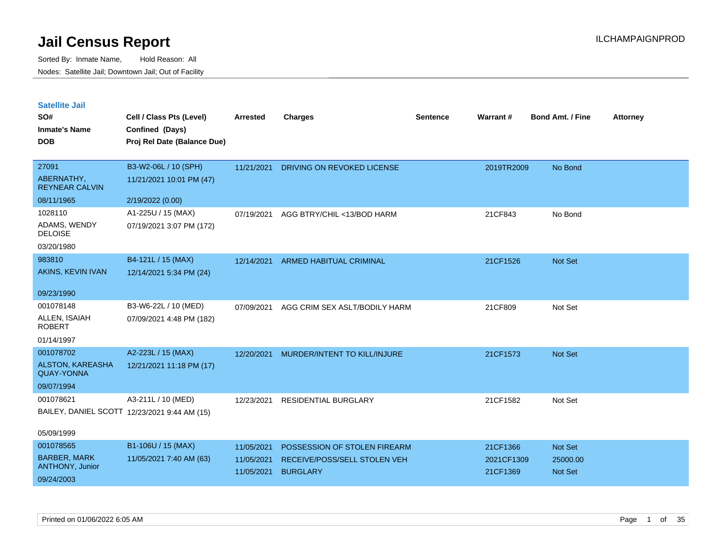| <b>Satellite Jail</b> |  |
|-----------------------|--|
|                       |  |

| UULUIILU VUII<br>SO#<br><b>Inmate's Name</b> | Cell / Class Pts (Level)<br>Confined (Days)  | Arrested   | <b>Charges</b>                | <b>Sentence</b> | Warrant#   | <b>Bond Amt. / Fine</b> | <b>Attorney</b> |
|----------------------------------------------|----------------------------------------------|------------|-------------------------------|-----------------|------------|-------------------------|-----------------|
| <b>DOB</b>                                   | Proj Rel Date (Balance Due)                  |            |                               |                 |            |                         |                 |
| 27091                                        | B3-W2-06L / 10 (SPH)                         | 11/21/2021 | DRIVING ON REVOKED LICENSE    |                 | 2019TR2009 | No Bond                 |                 |
| ABERNATHY,<br><b>REYNEAR CALVIN</b>          | 11/21/2021 10:01 PM (47)                     |            |                               |                 |            |                         |                 |
| 08/11/1965                                   | 2/19/2022 (0.00)                             |            |                               |                 |            |                         |                 |
| 1028110                                      | A1-225U / 15 (MAX)                           | 07/19/2021 | AGG BTRY/CHIL <13/BOD HARM    |                 | 21CF843    | No Bond                 |                 |
| ADAMS, WENDY<br><b>DELOISE</b>               | 07/19/2021 3:07 PM (172)                     |            |                               |                 |            |                         |                 |
| 03/20/1980                                   |                                              |            |                               |                 |            |                         |                 |
| 983810                                       | B4-121L / 15 (MAX)                           | 12/14/2021 | ARMED HABITUAL CRIMINAL       |                 | 21CF1526   | Not Set                 |                 |
| AKINS, KEVIN IVAN                            | 12/14/2021 5:34 PM (24)                      |            |                               |                 |            |                         |                 |
| 09/23/1990                                   |                                              |            |                               |                 |            |                         |                 |
| 001078148                                    | B3-W6-22L / 10 (MED)                         | 07/09/2021 | AGG CRIM SEX ASLT/BODILY HARM |                 | 21CF809    | Not Set                 |                 |
| ALLEN, ISAIAH<br><b>ROBERT</b>               | 07/09/2021 4:48 PM (182)                     |            |                               |                 |            |                         |                 |
| 01/14/1997                                   |                                              |            |                               |                 |            |                         |                 |
| 001078702                                    | A2-223L / 15 (MAX)                           | 12/20/2021 | MURDER/INTENT TO KILL/INJURE  |                 | 21CF1573   | Not Set                 |                 |
| ALSTON, KAREASHA<br><b>QUAY-YONNA</b>        | 12/21/2021 11:18 PM (17)                     |            |                               |                 |            |                         |                 |
| 09/07/1994                                   |                                              |            |                               |                 |            |                         |                 |
| 001078621                                    | A3-211L / 10 (MED)                           | 12/23/2021 | RESIDENTIAL BURGLARY          |                 | 21CF1582   | Not Set                 |                 |
|                                              | BAILEY, DANIEL SCOTT 12/23/2021 9:44 AM (15) |            |                               |                 |            |                         |                 |
| 05/09/1999                                   |                                              |            |                               |                 |            |                         |                 |
| 001078565                                    | B1-106U / 15 (MAX)                           | 11/05/2021 | POSSESSION OF STOLEN FIREARM  |                 | 21CF1366   | Not Set                 |                 |
| <b>BARBER, MARK</b><br>ANTHONY, Junior       | 11/05/2021 7:40 AM (63)                      | 11/05/2021 | RECEIVE/POSS/SELL STOLEN VEH  |                 | 2021CF1309 | 25000.00                |                 |
| 09/24/2003                                   |                                              | 11/05/2021 | <b>BURGLARY</b>               |                 | 21CF1369   | Not Set                 |                 |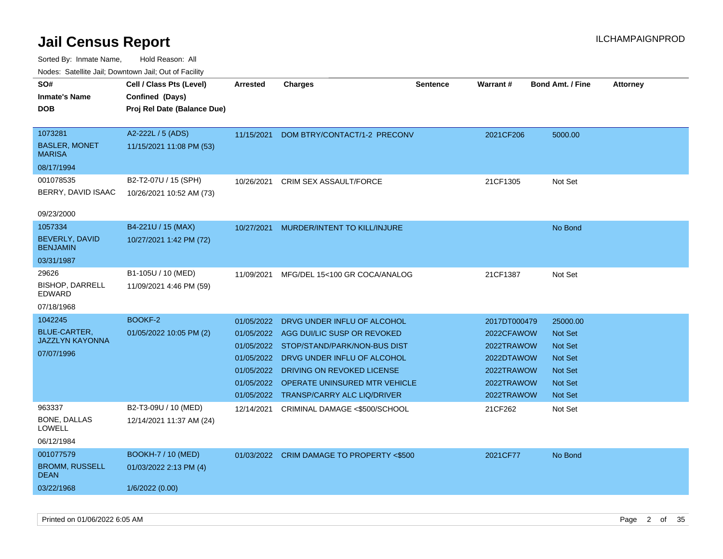| rouce. Calcinic Jan, Downtown Jan, Out or Facility |                                             |                 |                                         |                 |              |                         |                 |
|----------------------------------------------------|---------------------------------------------|-----------------|-----------------------------------------|-----------------|--------------|-------------------------|-----------------|
| SO#<br>Inmate's Name                               | Cell / Class Pts (Level)<br>Confined (Days) | <b>Arrested</b> | <b>Charges</b>                          | <b>Sentence</b> | Warrant#     | <b>Bond Amt. / Fine</b> | <b>Attorney</b> |
| DOB                                                | Proj Rel Date (Balance Due)                 |                 |                                         |                 |              |                         |                 |
| 1073281                                            | A2-222L / 5 (ADS)                           | 11/15/2021      | DOM BTRY/CONTACT/1-2 PRECONV            |                 | 2021CF206    | 5000.00                 |                 |
| <b>BASLER, MONET</b><br><b>MARISA</b>              | 11/15/2021 11:08 PM (53)                    |                 |                                         |                 |              |                         |                 |
| 08/17/1994                                         |                                             |                 |                                         |                 |              |                         |                 |
| 001078535                                          | B2-T2-07U / 15 (SPH)                        | 10/26/2021      | CRIM SEX ASSAULT/FORCE                  |                 | 21CF1305     | Not Set                 |                 |
| BERRY, DAVID ISAAC                                 | 10/26/2021 10:52 AM (73)                    |                 |                                         |                 |              |                         |                 |
| 09/23/2000                                         |                                             |                 |                                         |                 |              |                         |                 |
| 1057334                                            | B4-221U / 15 (MAX)                          | 10/27/2021      | MURDER/INTENT TO KILL/INJURE            |                 |              | No Bond                 |                 |
| BEVERLY, DAVID<br><b>BENJAMIN</b>                  | 10/27/2021 1:42 PM (72)                     |                 |                                         |                 |              |                         |                 |
| 03/31/1987                                         |                                             |                 |                                         |                 |              |                         |                 |
| 29626                                              | B1-105U / 10 (MED)                          | 11/09/2021      | MFG/DEL 15<100 GR COCA/ANALOG           |                 | 21CF1387     | Not Set                 |                 |
| <b>BISHOP, DARRELL</b><br>EDWARD                   | 11/09/2021 4:46 PM (59)                     |                 |                                         |                 |              |                         |                 |
| 07/18/1968                                         |                                             |                 |                                         |                 |              |                         |                 |
| 1042245                                            | BOOKF-2                                     | 01/05/2022      | DRVG UNDER INFLU OF ALCOHOL             |                 | 2017DT000479 | 25000.00                |                 |
| <b>BLUE-CARTER,</b>                                | 01/05/2022 10:05 PM (2)                     |                 | 01/05/2022 AGG DUI/LIC SUSP OR REVOKED  |                 | 2022CFAWOW   | <b>Not Set</b>          |                 |
| <b>JAZZLYN KAYONNA</b>                             |                                             |                 | 01/05/2022 STOP/STAND/PARK/NON-BUS DIST |                 | 2022TRAWOW   | <b>Not Set</b>          |                 |
| 07/07/1996                                         |                                             | 01/05/2022      | DRVG UNDER INFLU OF ALCOHOL             |                 | 2022DTAWOW   | Not Set                 |                 |
|                                                    |                                             | 01/05/2022      | <b>DRIVING ON REVOKED LICENSE</b>       |                 | 2022TRAWOW   | <b>Not Set</b>          |                 |
|                                                    |                                             | 01/05/2022      | OPERATE UNINSURED MTR VEHICLE           |                 | 2022TRAWOW   | <b>Not Set</b>          |                 |
|                                                    |                                             |                 | 01/05/2022 TRANSP/CARRY ALC LIQ/DRIVER  |                 | 2022TRAWOW   | Not Set                 |                 |
| 963337                                             | B2-T3-09U / 10 (MED)                        | 12/14/2021      | CRIMINAL DAMAGE <\$500/SCHOOL           |                 | 21CF262      | Not Set                 |                 |
| BONE, DALLAS<br>LOWELL                             | 12/14/2021 11:37 AM (24)                    |                 |                                         |                 |              |                         |                 |
| 06/12/1984                                         |                                             |                 |                                         |                 |              |                         |                 |
| 001077579                                          | <b>BOOKH-7 / 10 (MED)</b>                   | 01/03/2022      | CRIM DAMAGE TO PROPERTY <\$500          |                 | 2021CF77     | No Bond                 |                 |
| <b>BROMM, RUSSELL</b><br>DEAN                      | 01/03/2022 2:13 PM (4)                      |                 |                                         |                 |              |                         |                 |
| 03/22/1968                                         | 1/6/2022 (0.00)                             |                 |                                         |                 |              |                         |                 |
|                                                    |                                             |                 |                                         |                 |              |                         |                 |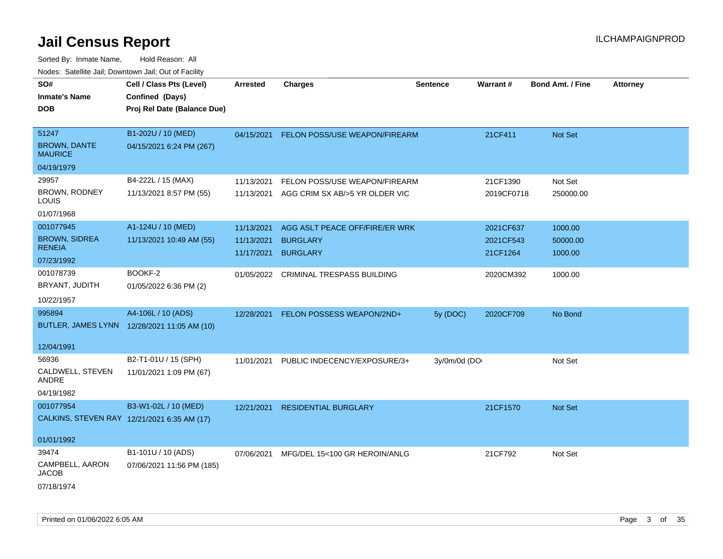| rouco. Calcillo Jali, Downtown Jali, Out of Facility |                                             |                 |                                          |                 |            |                         |                 |
|------------------------------------------------------|---------------------------------------------|-----------------|------------------------------------------|-----------------|------------|-------------------------|-----------------|
| SO#                                                  | Cell / Class Pts (Level)                    | <b>Arrested</b> | <b>Charges</b>                           | <b>Sentence</b> | Warrant#   | <b>Bond Amt. / Fine</b> | <b>Attorney</b> |
| Inmate's Name                                        | Confined (Days)                             |                 |                                          |                 |            |                         |                 |
| <b>DOB</b>                                           | Proj Rel Date (Balance Due)                 |                 |                                          |                 |            |                         |                 |
| 51247                                                | B1-202U / 10 (MED)                          |                 | 04/15/2021 FELON POSS/USE WEAPON/FIREARM |                 | 21CF411    | <b>Not Set</b>          |                 |
| <b>BROWN, DANTE</b><br>MAURICE                       | 04/15/2021 6:24 PM (267)                    |                 |                                          |                 |            |                         |                 |
| 04/19/1979                                           |                                             |                 |                                          |                 |            |                         |                 |
| 29957                                                | B4-222L / 15 (MAX)                          | 11/13/2021      | FELON POSS/USE WEAPON/FIREARM            |                 | 21CF1390   | Not Set                 |                 |
| BROWN, RODNEY<br>LOUIS                               | 11/13/2021 8:57 PM (55)                     | 11/13/2021      | AGG CRIM SX AB/>5 YR OLDER VIC           |                 | 2019CF0718 | 250000.00               |                 |
| 01/07/1968                                           |                                             |                 |                                          |                 |            |                         |                 |
| 001077945                                            | A1-124U / 10 (MED)                          | 11/13/2021      | AGG ASLT PEACE OFF/FIRE/ER WRK           |                 | 2021CF637  | 1000.00                 |                 |
| <b>BROWN, SIDREA</b>                                 | 11/13/2021 10:49 AM (55)                    | 11/13/2021      | <b>BURGLARY</b>                          |                 | 2021CF543  | 50000.00                |                 |
| <b>RENEIA</b>                                        |                                             | 11/17/2021      | <b>BURGLARY</b>                          |                 | 21CF1264   | 1000.00                 |                 |
| 07/23/1992                                           |                                             |                 |                                          |                 |            |                         |                 |
| 001078739                                            | BOOKF-2                                     |                 | 01/05/2022 CRIMINAL TRESPASS BUILDING    |                 | 2020CM392  | 1000.00                 |                 |
| BRYANT, JUDITH                                       | 01/05/2022 6:36 PM (2)                      |                 |                                          |                 |            |                         |                 |
| 10/22/1957                                           |                                             |                 |                                          |                 |            |                         |                 |
| 995894                                               | A4-106L / 10 (ADS)                          |                 | 12/28/2021 FELON POSSESS WEAPON/2ND+     | 5y (DOC)        | 2020CF709  | No Bond                 |                 |
|                                                      | BUTLER, JAMES LYNN 12/28/2021 11:05 AM (10) |                 |                                          |                 |            |                         |                 |
| 12/04/1991                                           |                                             |                 |                                          |                 |            |                         |                 |
| 56936                                                | B2-T1-01U / 15 (SPH)                        | 11/01/2021      | PUBLIC INDECENCY/EXPOSURE/3+             | 3y/0m/0d (DO    |            | Not Set                 |                 |
| CALDWELL, STEVEN<br>ANDRE                            | 11/01/2021 1:09 PM (67)                     |                 |                                          |                 |            |                         |                 |
| 04/19/1982                                           |                                             |                 |                                          |                 |            |                         |                 |
| 001077954                                            | B3-W1-02L / 10 (MED)                        | 12/21/2021      | <b>RESIDENTIAL BURGLARY</b>              |                 | 21CF1570   | <b>Not Set</b>          |                 |
|                                                      | CALKINS, STEVEN RAY 12/21/2021 6:35 AM (17) |                 |                                          |                 |            |                         |                 |
|                                                      |                                             |                 |                                          |                 |            |                         |                 |
| 01/01/1992                                           |                                             |                 |                                          |                 |            |                         |                 |
| 39474                                                | B1-101U / 10 (ADS)                          | 07/06/2021      | MFG/DEL 15<100 GR HEROIN/ANLG            |                 | 21CF792    | Not Set                 |                 |
| CAMPBELL, AARON<br>JACOB                             | 07/06/2021 11:56 PM (185)                   |                 |                                          |                 |            |                         |                 |
| 07/18/1974                                           |                                             |                 |                                          |                 |            |                         |                 |
|                                                      |                                             |                 |                                          |                 |            |                         |                 |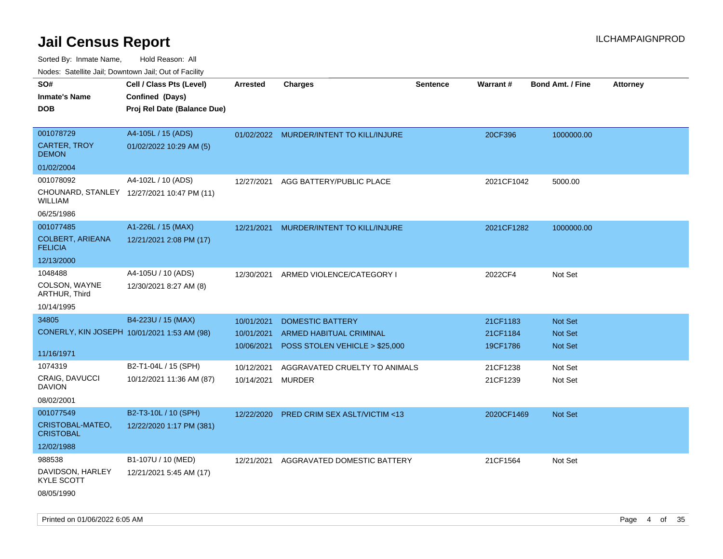Sorted By: Inmate Name, Hold Reason: All

|  |  |  | Nodes: Satellite Jail; Downtown Jail; Out of Facility |  |
|--|--|--|-------------------------------------------------------|--|
|--|--|--|-------------------------------------------------------|--|

| SO#<br><b>Inmate's Name</b>               | Cell / Class Pts (Level)<br>Confined (Days) | <b>Arrested</b> | <b>Charges</b>                          | <b>Sentence</b> | <b>Warrant#</b> | <b>Bond Amt. / Fine</b> | <b>Attorney</b> |
|-------------------------------------------|---------------------------------------------|-----------------|-----------------------------------------|-----------------|-----------------|-------------------------|-----------------|
| <b>DOB</b>                                | Proj Rel Date (Balance Due)                 |                 |                                         |                 |                 |                         |                 |
| 001078729                                 | A4-105L / 15 (ADS)                          |                 | 01/02/2022 MURDER/INTENT TO KILL/INJURE |                 | 20CF396         | 1000000.00              |                 |
| <b>CARTER, TROY</b><br><b>DEMON</b>       | 01/02/2022 10:29 AM (5)                     |                 |                                         |                 |                 |                         |                 |
| 01/02/2004                                |                                             |                 |                                         |                 |                 |                         |                 |
| 001078092                                 | A4-102L / 10 (ADS)                          | 12/27/2021      | AGG BATTERY/PUBLIC PLACE                |                 | 2021CF1042      | 5000.00                 |                 |
| WILLIAM                                   | CHOUNARD, STANLEY 12/27/2021 10:47 PM (11)  |                 |                                         |                 |                 |                         |                 |
| 06/25/1986                                |                                             |                 |                                         |                 |                 |                         |                 |
| 001077485                                 | A1-226L / 15 (MAX)                          | 12/21/2021      | MURDER/INTENT TO KILL/INJURE            |                 | 2021CF1282      | 1000000.00              |                 |
| <b>COLBERT, ARIEANA</b><br><b>FELICIA</b> | 12/21/2021 2:08 PM (17)                     |                 |                                         |                 |                 |                         |                 |
| 12/13/2000                                |                                             |                 |                                         |                 |                 |                         |                 |
| 1048488                                   | A4-105U / 10 (ADS)                          | 12/30/2021      | ARMED VIOLENCE/CATEGORY I               |                 | 2022CF4         | Not Set                 |                 |
| COLSON, WAYNE<br>ARTHUR, Third            | 12/30/2021 8:27 AM (8)                      |                 |                                         |                 |                 |                         |                 |
| 10/14/1995                                |                                             |                 |                                         |                 |                 |                         |                 |
| 34805                                     | B4-223U / 15 (MAX)                          | 10/01/2021      | <b>DOMESTIC BATTERY</b>                 |                 | 21CF1183        | Not Set                 |                 |
|                                           | CONERLY, KIN JOSEPH 10/01/2021 1:53 AM (98) | 10/01/2021      | ARMED HABITUAL CRIMINAL                 |                 | 21CF1184        | Not Set                 |                 |
| 11/16/1971                                |                                             | 10/06/2021      | POSS STOLEN VEHICLE > \$25,000          |                 | 19CF1786        | <b>Not Set</b>          |                 |
| 1074319                                   | B2-T1-04L / 15 (SPH)                        | 10/12/2021      | AGGRAVATED CRUELTY TO ANIMALS           |                 | 21CF1238        | Not Set                 |                 |
| CRAIG, DAVUCCI<br><b>DAVION</b>           | 10/12/2021 11:36 AM (87)                    | 10/14/2021      | <b>MURDER</b>                           |                 | 21CF1239        | Not Set                 |                 |
| 08/02/2001                                |                                             |                 |                                         |                 |                 |                         |                 |
| 001077549                                 | B2-T3-10L / 10 (SPH)                        | 12/22/2020      | <b>PRED CRIM SEX ASLT/VICTIM &lt;13</b> |                 | 2020CF1469      | <b>Not Set</b>          |                 |
| CRISTOBAL-MATEO,<br><b>CRISTOBAL</b>      | 12/22/2020 1:17 PM (381)                    |                 |                                         |                 |                 |                         |                 |
| 12/02/1988                                |                                             |                 |                                         |                 |                 |                         |                 |
| 988538                                    | B1-107U / 10 (MED)                          |                 | 12/21/2021 AGGRAVATED DOMESTIC BATTERY  |                 | 21CF1564        | Not Set                 |                 |
| DAVIDSON, HARLEY<br><b>KYLE SCOTT</b>     | 12/21/2021 5:45 AM (17)                     |                 |                                         |                 |                 |                         |                 |
| 08/05/1990                                |                                             |                 |                                         |                 |                 |                         |                 |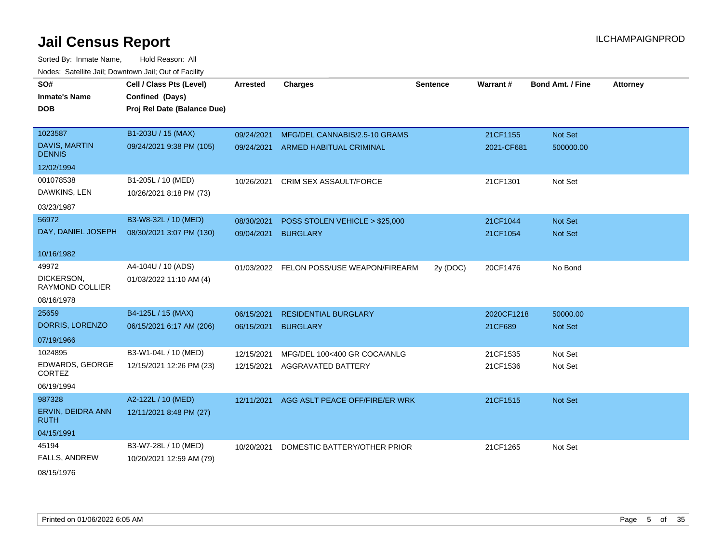Sorted By: Inmate Name, Hold Reason: All Nodes: Satellite Jail; Downtown Jail; Out of Facility

| SO#<br><b>Inmate's Name</b><br><b>DOB</b>                        | Cell / Class Pts (Level)<br>Confined (Days)<br>Proj Rel Date (Balance Due) | <b>Arrested</b>          | <b>Charges</b>                                                  | <b>Sentence</b> | <b>Warrant#</b>        | <b>Bond Amt. / Fine</b> | <b>Attorney</b> |
|------------------------------------------------------------------|----------------------------------------------------------------------------|--------------------------|-----------------------------------------------------------------|-----------------|------------------------|-------------------------|-----------------|
| 1023587<br><b>DAVIS, MARTIN</b><br><b>DENNIS</b>                 | B1-203U / 15 (MAX)<br>09/24/2021 9:38 PM (105)                             | 09/24/2021<br>09/24/2021 | MFG/DEL CANNABIS/2.5-10 GRAMS<br><b>ARMED HABITUAL CRIMINAL</b> |                 | 21CF1155<br>2021-CF681 | Not Set<br>500000.00    |                 |
| 12/02/1994<br>001078538<br>DAWKINS, LEN<br>03/23/1987            | B1-205L / 10 (MED)<br>10/26/2021 8:18 PM (73)                              | 10/26/2021               | <b>CRIM SEX ASSAULT/FORCE</b>                                   |                 | 21CF1301               | Not Set                 |                 |
| 56972<br>DAY, DANIEL JOSEPH<br>10/16/1982                        | B3-W8-32L / 10 (MED)<br>08/30/2021 3:07 PM (130)                           | 08/30/2021<br>09/04/2021 | POSS STOLEN VEHICLE > \$25,000<br><b>BURGLARY</b>               |                 | 21CF1044<br>21CF1054   | Not Set<br>Not Set      |                 |
| 49972<br>DICKERSON,<br>RAYMOND COLLIER                           | A4-104U / 10 (ADS)<br>01/03/2022 11:10 AM (4)                              | 01/03/2022               | FELON POSS/USE WEAPON/FIREARM                                   | 2y (DOC)        | 20CF1476               | No Bond                 |                 |
| 08/16/1978<br>25659<br>DORRIS, LORENZO                           | B4-125L / 15 (MAX)<br>06/15/2021 6:17 AM (206)                             | 06/15/2021<br>06/15/2021 | <b>RESIDENTIAL BURGLARY</b><br><b>BURGLARY</b>                  |                 | 2020CF1218<br>21CF689  | 50000.00<br>Not Set     |                 |
| 07/19/1966<br>1024895<br>EDWARDS, GEORGE<br>CORTEZ<br>06/19/1994 | B3-W1-04L / 10 (MED)<br>12/15/2021 12:26 PM (23)                           | 12/15/2021<br>12/15/2021 | MFG/DEL 100<400 GR COCA/ANLG<br>AGGRAVATED BATTERY              |                 | 21CF1535<br>21CF1536   | Not Set<br>Not Set      |                 |
| 987328<br>ERVIN, DEIDRA ANN<br><b>RUTH</b><br>04/15/1991         | A2-122L / 10 (MED)<br>12/11/2021 8:48 PM (27)                              | 12/11/2021               | AGG ASLT PEACE OFF/FIRE/ER WRK                                  |                 | 21CF1515               | Not Set                 |                 |
| 45194<br>FALLS, ANDREW                                           | B3-W7-28L / 10 (MED)<br>10/20/2021 12:59 AM (79)                           | 10/20/2021               | DOMESTIC BATTERY/OTHER PRIOR                                    |                 | 21CF1265               | Not Set                 |                 |

08/15/1976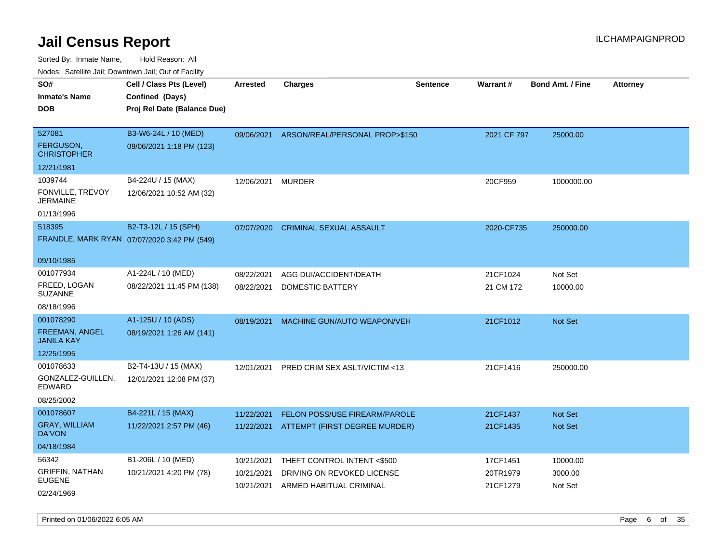Sorted By: Inmate Name, Hold Reason: All Nodes: Satellite Jail; Downtown Jail; Out of Facility

| rougs. Calcing Jan, Downtown Jan, Out of Facility |                             |                 |                                           |                 |             |                         |                 |
|---------------------------------------------------|-----------------------------|-----------------|-------------------------------------------|-----------------|-------------|-------------------------|-----------------|
| SO#                                               | Cell / Class Pts (Level)    | <b>Arrested</b> | <b>Charges</b>                            | <b>Sentence</b> | Warrant#    | <b>Bond Amt. / Fine</b> | <b>Attorney</b> |
| <b>Inmate's Name</b>                              | Confined (Days)             |                 |                                           |                 |             |                         |                 |
| <b>DOB</b>                                        | Proj Rel Date (Balance Due) |                 |                                           |                 |             |                         |                 |
| 527081                                            | B3-W6-24L / 10 (MED)        |                 | 09/06/2021 ARSON/REAL/PERSONAL PROP>\$150 |                 | 2021 CF 797 | 25000.00                |                 |
| <b>FERGUSON,</b><br><b>CHRISTOPHER</b>            | 09/06/2021 1:18 PM (123)    |                 |                                           |                 |             |                         |                 |
| 12/21/1981                                        |                             |                 |                                           |                 |             |                         |                 |
| 1039744                                           | B4-224U / 15 (MAX)          | 12/06/2021      | <b>MURDER</b>                             |                 | 20CF959     | 1000000.00              |                 |
| FONVILLE, TREVOY<br><b>JERMAINE</b>               | 12/06/2021 10:52 AM (32)    |                 |                                           |                 |             |                         |                 |
| 01/13/1996                                        |                             |                 |                                           |                 |             |                         |                 |
| 518395                                            | B2-T3-12L / 15 (SPH)        | 07/07/2020      | <b>CRIMINAL SEXUAL ASSAULT</b>            |                 | 2020-CF735  | 250000.00               |                 |
| FRANDLE, MARK RYAN 07/07/2020 3:42 PM (549)       |                             |                 |                                           |                 |             |                         |                 |
| 09/10/1985                                        |                             |                 |                                           |                 |             |                         |                 |
| 001077934                                         | A1-224L / 10 (MED)          | 08/22/2021      | AGG DUI/ACCIDENT/DEATH                    |                 | 21CF1024    | Not Set                 |                 |
| FREED, LOGAN<br><b>SUZANNE</b>                    | 08/22/2021 11:45 PM (138)   | 08/22/2021      | DOMESTIC BATTERY                          |                 | 21 CM 172   | 10000.00                |                 |
| 08/18/1996                                        |                             |                 |                                           |                 |             |                         |                 |
| 001078290                                         | A1-125U / 10 (ADS)          | 08/19/2021      | MACHINE GUN/AUTO WEAPON/VEH               |                 | 21CF1012    | <b>Not Set</b>          |                 |
| <b>FREEMAN, ANGEL</b><br><b>JANILA KAY</b>        | 08/19/2021 1:26 AM (141)    |                 |                                           |                 |             |                         |                 |
| 12/25/1995                                        |                             |                 |                                           |                 |             |                         |                 |
| 001078633                                         | B2-T4-13U / 15 (MAX)        | 12/01/2021      | PRED CRIM SEX ASLT/VICTIM <13             |                 | 21CF1416    | 250000.00               |                 |
| GONZALEZ-GUILLEN,<br>EDWARD                       | 12/01/2021 12:08 PM (37)    |                 |                                           |                 |             |                         |                 |
| 08/25/2002                                        |                             |                 |                                           |                 |             |                         |                 |
| 001078607                                         | B4-221L / 15 (MAX)          | 11/22/2021      | <b>FELON POSS/USE FIREARM/PAROLE</b>      |                 | 21CF1437    | <b>Not Set</b>          |                 |
| <b>GRAY, WILLIAM</b><br>DA'VON                    | 11/22/2021 2:57 PM (46)     |                 | 11/22/2021 ATTEMPT (FIRST DEGREE MURDER)  |                 | 21CF1435    | <b>Not Set</b>          |                 |
| 04/18/1984                                        |                             |                 |                                           |                 |             |                         |                 |
| 56342                                             | B1-206L / 10 (MED)          | 10/21/2021      | THEFT CONTROL INTENT <\$500               |                 | 17CF1451    | 10000.00                |                 |
| <b>GRIFFIN, NATHAN</b>                            | 10/21/2021 4:20 PM (78)     | 10/21/2021      | DRIVING ON REVOKED LICENSE                |                 | 20TR1979    | 3000.00                 |                 |
| <b>EUGENE</b><br>02/24/1969                       |                             | 10/21/2021      | ARMED HABITUAL CRIMINAL                   |                 | 21CF1279    | Not Set                 |                 |

Printed on 01/06/2022 6:05 AM **Page 6** of 35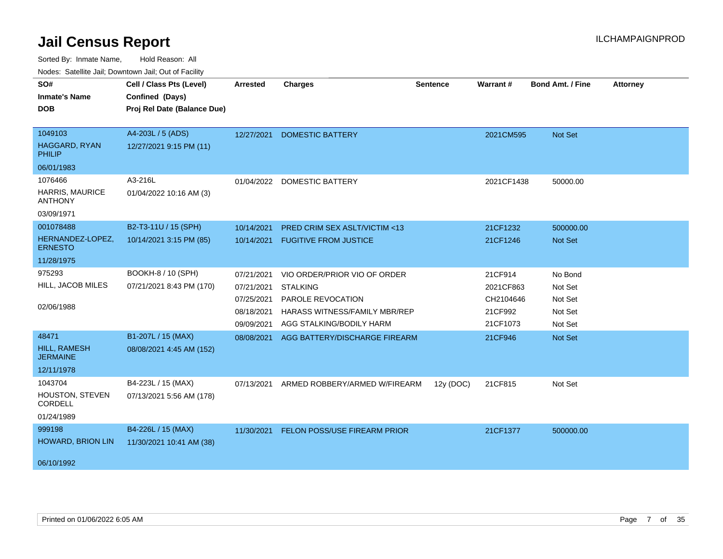| ivuutis. Galtiillit Jall, Duwilluwii Jall, Oul of Facility |                             |                 |                                      |                 |            |                         |                 |
|------------------------------------------------------------|-----------------------------|-----------------|--------------------------------------|-----------------|------------|-------------------------|-----------------|
| SO#                                                        | Cell / Class Pts (Level)    | <b>Arrested</b> | <b>Charges</b>                       | <b>Sentence</b> | Warrant#   | <b>Bond Amt. / Fine</b> | <b>Attorney</b> |
| <b>Inmate's Name</b>                                       | Confined (Days)             |                 |                                      |                 |            |                         |                 |
| <b>DOB</b>                                                 | Proj Rel Date (Balance Due) |                 |                                      |                 |            |                         |                 |
|                                                            |                             |                 |                                      |                 |            |                         |                 |
| 1049103                                                    | A4-203L / 5 (ADS)           | 12/27/2021      | <b>DOMESTIC BATTERY</b>              |                 | 2021CM595  | Not Set                 |                 |
| HAGGARD, RYAN<br><b>PHILIP</b>                             | 12/27/2021 9:15 PM (11)     |                 |                                      |                 |            |                         |                 |
| 06/01/1983                                                 |                             |                 |                                      |                 |            |                         |                 |
| 1076466                                                    | A3-216L                     |                 | 01/04/2022 DOMESTIC BATTERY          |                 | 2021CF1438 | 50000.00                |                 |
| <b>HARRIS, MAURICE</b><br><b>ANTHONY</b>                   | 01/04/2022 10:16 AM (3)     |                 |                                      |                 |            |                         |                 |
| 03/09/1971                                                 |                             |                 |                                      |                 |            |                         |                 |
| 001078488                                                  | B2-T3-11U / 15 (SPH)        | 10/14/2021      | PRED CRIM SEX ASLT/VICTIM <13        |                 | 21CF1232   | 500000.00               |                 |
| HERNANDEZ-LOPEZ,<br><b>ERNESTO</b>                         | 10/14/2021 3:15 PM (85)     | 10/14/2021      | <b>FUGITIVE FROM JUSTICE</b>         |                 | 21CF1246   | Not Set                 |                 |
| 11/28/1975                                                 |                             |                 |                                      |                 |            |                         |                 |
| 975293                                                     | BOOKH-8 / 10 (SPH)          | 07/21/2021      | VIO ORDER/PRIOR VIO OF ORDER         |                 | 21CF914    | No Bond                 |                 |
| HILL, JACOB MILES                                          | 07/21/2021 8:43 PM (170)    | 07/21/2021      | <b>STALKING</b>                      |                 | 2021CF863  | Not Set                 |                 |
|                                                            |                             | 07/25/2021      | PAROLE REVOCATION                    |                 | CH2104646  | Not Set                 |                 |
| 02/06/1988                                                 |                             | 08/18/2021      | <b>HARASS WITNESS/FAMILY MBR/REP</b> |                 | 21CF992    | Not Set                 |                 |
|                                                            |                             | 09/09/2021      | AGG STALKING/BODILY HARM             |                 | 21CF1073   | Not Set                 |                 |
| 48471                                                      | B1-207L / 15 (MAX)          | 08/08/2021      | AGG BATTERY/DISCHARGE FIREARM        |                 | 21CF946    | <b>Not Set</b>          |                 |
| HILL, RAMESH<br><b>JERMAINE</b>                            | 08/08/2021 4:45 AM (152)    |                 |                                      |                 |            |                         |                 |
| 12/11/1978                                                 |                             |                 |                                      |                 |            |                         |                 |
| 1043704                                                    | B4-223L / 15 (MAX)          | 07/13/2021      | ARMED ROBBERY/ARMED W/FIREARM        | 12y (DOC)       | 21CF815    | Not Set                 |                 |
| <b>HOUSTON, STEVEN</b><br>CORDELL                          | 07/13/2021 5:56 AM (178)    |                 |                                      |                 |            |                         |                 |
| 01/24/1989                                                 |                             |                 |                                      |                 |            |                         |                 |
| 999198                                                     | B4-226L / 15 (MAX)          | 11/30/2021      | FELON POSS/USE FIREARM PRIOR         |                 | 21CF1377   | 500000.00               |                 |
| HOWARD, BRION LIN                                          | 11/30/2021 10:41 AM (38)    |                 |                                      |                 |            |                         |                 |
| 06/10/1992                                                 |                             |                 |                                      |                 |            |                         |                 |
|                                                            |                             |                 |                                      |                 |            |                         |                 |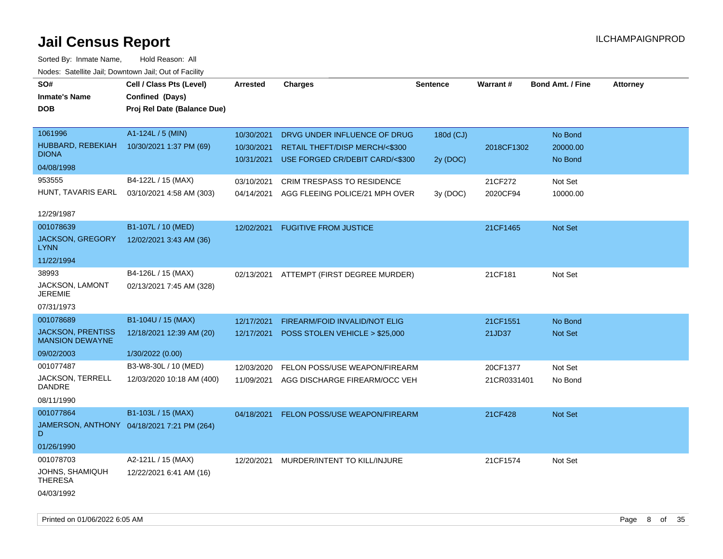| rouco. Calcinic Jan, Downtown Jan, Out of Facility |                                            |                 |                                   |           |             |                         |                 |
|----------------------------------------------------|--------------------------------------------|-----------------|-----------------------------------|-----------|-------------|-------------------------|-----------------|
| SO#                                                | Cell / Class Pts (Level)                   | <b>Arrested</b> | <b>Charges</b>                    | Sentence  | Warrant#    | <b>Bond Amt. / Fine</b> | <b>Attorney</b> |
| <b>Inmate's Name</b>                               | Confined (Days)                            |                 |                                   |           |             |                         |                 |
| <b>DOB</b>                                         | Proj Rel Date (Balance Due)                |                 |                                   |           |             |                         |                 |
|                                                    |                                            |                 |                                   |           |             |                         |                 |
| 1061996                                            | A1-124L / 5 (MIN)                          | 10/30/2021      | DRVG UNDER INFLUENCE OF DRUG      | 180d (CJ) |             | No Bond                 |                 |
| HUBBARD, REBEKIAH                                  | 10/30/2021 1:37 PM (69)                    | 10/30/2021      | RETAIL THEFT/DISP MERCH/<\$300    |           | 2018CF1302  | 20000.00                |                 |
| <b>DIONA</b>                                       |                                            | 10/31/2021      | USE FORGED CR/DEBIT CARD/<\$300   | 2y (DOC)  |             | No Bond                 |                 |
| 04/08/1998                                         |                                            |                 |                                   |           |             |                         |                 |
| 953555                                             | B4-122L / 15 (MAX)                         | 03/10/2021      | <b>CRIM TRESPASS TO RESIDENCE</b> |           | 21CF272     | Not Set                 |                 |
| HUNT, TAVARIS EARL                                 | 03/10/2021 4:58 AM (303)                   | 04/14/2021      | AGG FLEEING POLICE/21 MPH OVER    | 3y (DOC)  | 2020CF94    | 10000.00                |                 |
|                                                    |                                            |                 |                                   |           |             |                         |                 |
| 12/29/1987                                         |                                            |                 |                                   |           |             |                         |                 |
| 001078639                                          | B1-107L / 10 (MED)                         | 12/02/2021      | <b>FUGITIVE FROM JUSTICE</b>      |           | 21CF1465    | Not Set                 |                 |
| JACKSON, GREGORY<br><b>LYNN</b>                    | 12/02/2021 3:43 AM (36)                    |                 |                                   |           |             |                         |                 |
| 11/22/1994                                         |                                            |                 |                                   |           |             |                         |                 |
| 38993                                              | B4-126L / 15 (MAX)                         | 02/13/2021      | ATTEMPT (FIRST DEGREE MURDER)     |           | 21CF181     | Not Set                 |                 |
| JACKSON, LAMONT<br><b>JEREMIE</b>                  | 02/13/2021 7:45 AM (328)                   |                 |                                   |           |             |                         |                 |
| 07/31/1973                                         |                                            |                 |                                   |           |             |                         |                 |
| 001078689                                          | B1-104U / 15 (MAX)                         | 12/17/2021      | FIREARM/FOID INVALID/NOT ELIG     |           | 21CF1551    | No Bond                 |                 |
| <b>JACKSON, PRENTISS</b><br><b>MANSION DEWAYNE</b> | 12/18/2021 12:39 AM (20)                   | 12/17/2021      | POSS STOLEN VEHICLE > \$25,000    |           | 21JD37      | Not Set                 |                 |
| 09/02/2003                                         | 1/30/2022 (0.00)                           |                 |                                   |           |             |                         |                 |
| 001077487                                          | B3-W8-30L / 10 (MED)                       | 12/03/2020      | FELON POSS/USE WEAPON/FIREARM     |           | 20CF1377    | Not Set                 |                 |
| JACKSON, TERRELL<br>DANDRE                         | 12/03/2020 10:18 AM (400)                  | 11/09/2021      | AGG DISCHARGE FIREARM/OCC VEH     |           | 21CR0331401 | No Bond                 |                 |
| 08/11/1990                                         |                                            |                 |                                   |           |             |                         |                 |
| 001077864                                          | B1-103L / 15 (MAX)                         | 04/18/2021      | FELON POSS/USE WEAPON/FIREARM     |           | 21CF428     | Not Set                 |                 |
| D                                                  | JAMERSON, ANTHONY 04/18/2021 7:21 PM (264) |                 |                                   |           |             |                         |                 |
| 01/26/1990                                         |                                            |                 |                                   |           |             |                         |                 |
| 001078703                                          | A2-121L / 15 (MAX)                         | 12/20/2021      | MURDER/INTENT TO KILL/INJURE      |           | 21CF1574    | Not Set                 |                 |
| JOHNS, SHAMIQUH<br><b>THERESA</b>                  | 12/22/2021 6:41 AM (16)                    |                 |                                   |           |             |                         |                 |
| 04/03/1992                                         |                                            |                 |                                   |           |             |                         |                 |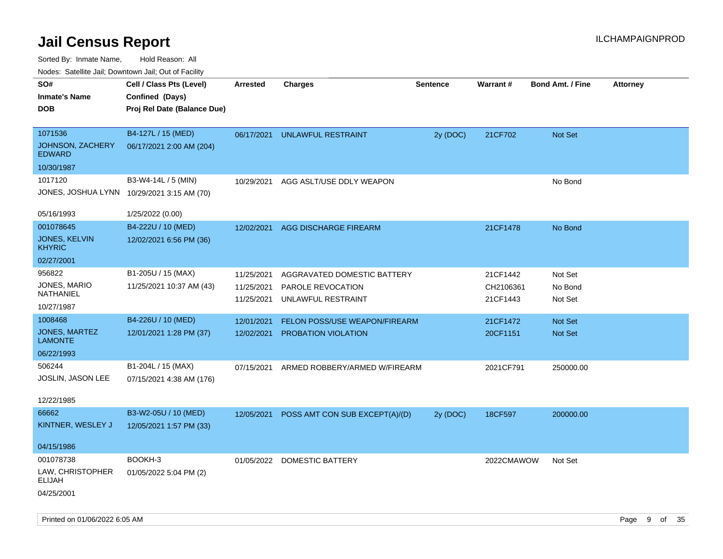| indues. Salenne Jan, Downlown Jan, Out of Facility |                                            |                 |                                |                 |            |                         |                 |
|----------------------------------------------------|--------------------------------------------|-----------------|--------------------------------|-----------------|------------|-------------------------|-----------------|
| SO#                                                | Cell / Class Pts (Level)                   | <b>Arrested</b> | <b>Charges</b>                 | <b>Sentence</b> | Warrant#   | <b>Bond Amt. / Fine</b> | <b>Attorney</b> |
| <b>Inmate's Name</b>                               | Confined (Days)                            |                 |                                |                 |            |                         |                 |
| <b>DOB</b>                                         | Proj Rel Date (Balance Due)                |                 |                                |                 |            |                         |                 |
|                                                    |                                            |                 |                                |                 |            |                         |                 |
| 1071536                                            | B4-127L / 15 (MED)                         | 06/17/2021      | <b>UNLAWFUL RESTRAINT</b>      | 2y (DOC)        | 21CF702    | Not Set                 |                 |
| JOHNSON, ZACHERY<br><b>EDWARD</b>                  | 06/17/2021 2:00 AM (204)                   |                 |                                |                 |            |                         |                 |
| 10/30/1987                                         |                                            |                 |                                |                 |            |                         |                 |
| 1017120                                            | B3-W4-14L / 5 (MIN)                        | 10/29/2021      | AGG ASLT/USE DDLY WEAPON       |                 |            | No Bond                 |                 |
|                                                    | JONES, JOSHUA LYNN 10/29/2021 3:15 AM (70) |                 |                                |                 |            |                         |                 |
| 05/16/1993                                         | 1/25/2022 (0.00)                           |                 |                                |                 |            |                         |                 |
| 001078645                                          | B4-222U / 10 (MED)                         | 12/02/2021      | <b>AGG DISCHARGE FIREARM</b>   |                 | 21CF1478   | No Bond                 |                 |
| JONES, KELVIN<br><b>KHYRIC</b>                     | 12/02/2021 6:56 PM (36)                    |                 |                                |                 |            |                         |                 |
| 02/27/2001                                         |                                            |                 |                                |                 |            |                         |                 |
| 956822                                             | B1-205U / 15 (MAX)                         | 11/25/2021      | AGGRAVATED DOMESTIC BATTERY    |                 | 21CF1442   | Not Set                 |                 |
| JONES, MARIO                                       | 11/25/2021 10:37 AM (43)                   | 11/25/2021      | PAROLE REVOCATION              |                 | CH2106361  | No Bond                 |                 |
| NATHANIEL                                          |                                            | 11/25/2021      | UNLAWFUL RESTRAINT             |                 | 21CF1443   | Not Set                 |                 |
| 10/27/1987                                         |                                            |                 |                                |                 |            |                         |                 |
| 1008468                                            | B4-226U / 10 (MED)                         | 12/01/2021      | FELON POSS/USE WEAPON/FIREARM  |                 | 21CF1472   | <b>Not Set</b>          |                 |
| JONES, MARTEZ<br><b>LAMONTE</b>                    | 12/01/2021 1:28 PM (37)                    | 12/02/2021      | PROBATION VIOLATION            |                 | 20CF1151   | Not Set                 |                 |
| 06/22/1993                                         |                                            |                 |                                |                 |            |                         |                 |
| 506244                                             | B1-204L / 15 (MAX)                         | 07/15/2021      | ARMED ROBBERY/ARMED W/FIREARM  |                 | 2021CF791  | 250000.00               |                 |
| JOSLIN, JASON LEE                                  | 07/15/2021 4:38 AM (176)                   |                 |                                |                 |            |                         |                 |
|                                                    |                                            |                 |                                |                 |            |                         |                 |
| 12/22/1985                                         |                                            |                 |                                |                 |            |                         |                 |
| 66662                                              | B3-W2-05U / 10 (MED)                       | 12/05/2021      | POSS AMT CON SUB EXCEPT(A)/(D) | 2y (DOC)        | 18CF597    | 200000.00               |                 |
| KINTNER, WESLEY J                                  | 12/05/2021 1:57 PM (33)                    |                 |                                |                 |            |                         |                 |
| 04/15/1986                                         |                                            |                 |                                |                 |            |                         |                 |
| 001078738                                          | BOOKH-3                                    | 01/05/2022      | DOMESTIC BATTERY               |                 | 2022CMAWOW | Not Set                 |                 |
| LAW, CHRISTOPHER                                   | 01/05/2022 5:04 PM (2)                     |                 |                                |                 |            |                         |                 |
| <b>ELIJAH</b>                                      |                                            |                 |                                |                 |            |                         |                 |
| 04/25/2001                                         |                                            |                 |                                |                 |            |                         |                 |
|                                                    |                                            |                 |                                |                 |            |                         |                 |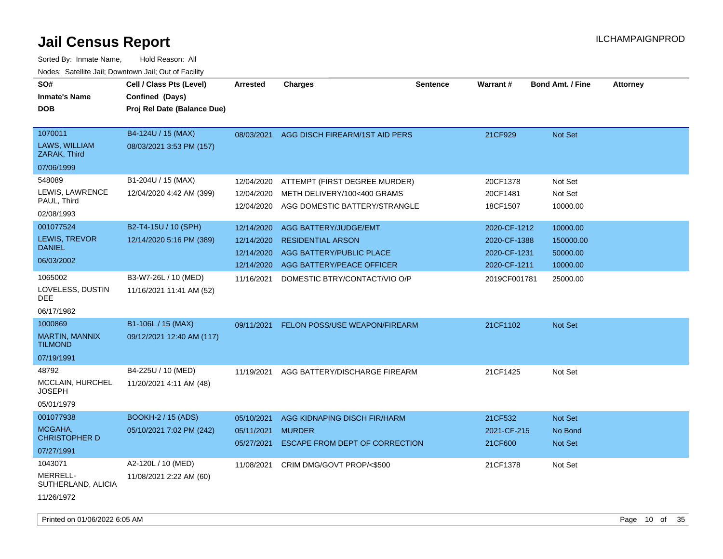| SO#<br><b>Inmate's Name</b><br><b>DOB</b>                                                                                                                               | Cell / Class Pts (Level)<br>Confined (Days)<br>Proj Rel Date (Balance Due)                                                                             | <b>Arrested</b>                                                                                              | <b>Charges</b>                                                                                                                                                                                                                               | <b>Sentence</b> | Warrant#                                                                                                         | <b>Bond Amt. / Fine</b>                                                                     | <b>Attorney</b> |
|-------------------------------------------------------------------------------------------------------------------------------------------------------------------------|--------------------------------------------------------------------------------------------------------------------------------------------------------|--------------------------------------------------------------------------------------------------------------|----------------------------------------------------------------------------------------------------------------------------------------------------------------------------------------------------------------------------------------------|-----------------|------------------------------------------------------------------------------------------------------------------|---------------------------------------------------------------------------------------------|-----------------|
| 1070011<br><b>LAWS, WILLIAM</b><br>ZARAK, Third<br>07/06/1999                                                                                                           | B4-124U / 15 (MAX)<br>08/03/2021 3:53 PM (157)                                                                                                         | 08/03/2021                                                                                                   | AGG DISCH FIREARM/1ST AID PERS                                                                                                                                                                                                               |                 | 21CF929                                                                                                          | Not Set                                                                                     |                 |
| 548089<br>LEWIS, LAWRENCE<br>PAUL, Third<br>02/08/1993<br>001077524<br>LEWIS, TREVOR<br><b>DANIEL</b><br>06/03/2002<br>1065002<br>LOVELESS, DUSTIN<br>DEE<br>06/17/1982 | B1-204U / 15 (MAX)<br>12/04/2020 4:42 AM (399)<br>B2-T4-15U / 10 (SPH)<br>12/14/2020 5:16 PM (389)<br>B3-W7-26L / 10 (MED)<br>11/16/2021 11:41 AM (52) | 12/04/2020<br>12/04/2020<br>12/04/2020<br>12/14/2020<br>12/14/2020<br>12/14/2020<br>12/14/2020<br>11/16/2021 | ATTEMPT (FIRST DEGREE MURDER)<br>METH DELIVERY/100<400 GRAMS<br>AGG DOMESTIC BATTERY/STRANGLE<br>AGG BATTERY/JUDGE/EMT<br><b>RESIDENTIAL ARSON</b><br>AGG BATTERY/PUBLIC PLACE<br>AGG BATTERY/PEACE OFFICER<br>DOMESTIC BTRY/CONTACT/VIO O/P |                 | 20CF1378<br>20CF1481<br>18CF1507<br>2020-CF-1212<br>2020-CF-1388<br>2020-CF-1231<br>2020-CF-1211<br>2019CF001781 | Not Set<br>Not Set<br>10000.00<br>10000.00<br>150000.00<br>50000.00<br>10000.00<br>25000.00 |                 |
| 1000869<br><b>MARTIN, MANNIX</b><br><b>TILMOND</b><br>07/19/1991                                                                                                        | B1-106L / 15 (MAX)<br>09/12/2021 12:40 AM (117)                                                                                                        | 09/11/2021                                                                                                   | FELON POSS/USE WEAPON/FIREARM                                                                                                                                                                                                                |                 | 21CF1102                                                                                                         | Not Set                                                                                     |                 |
| 48792<br>MCCLAIN, HURCHEL<br><b>JOSEPH</b><br>05/01/1979                                                                                                                | B4-225U / 10 (MED)<br>11/20/2021 4:11 AM (48)                                                                                                          | 11/19/2021                                                                                                   | AGG BATTERY/DISCHARGE FIREARM                                                                                                                                                                                                                |                 | 21CF1425                                                                                                         | Not Set                                                                                     |                 |
| 001077938<br>MCGAHA.<br><b>CHRISTOPHER D</b><br>07/27/1991                                                                                                              | <b>BOOKH-2 / 15 (ADS)</b><br>05/10/2021 7:02 PM (242)                                                                                                  | 05/10/2021<br>05/11/2021<br>05/27/2021                                                                       | AGG KIDNAPING DISCH FIR/HARM<br><b>MURDER</b><br>ESCAPE FROM DEPT OF CORRECTION                                                                                                                                                              |                 | 21CF532<br>2021-CF-215<br>21CF600                                                                                | Not Set<br>No Bond<br>Not Set                                                               |                 |
| 1043071<br>MERRELL-<br>SUTHERLAND, ALICIA<br>11/26/1972                                                                                                                 | A2-120L / 10 (MED)<br>11/08/2021 2:22 AM (60)                                                                                                          | 11/08/2021                                                                                                   | CRIM DMG/GOVT PROP/<\$500                                                                                                                                                                                                                    |                 | 21CF1378                                                                                                         | Not Set                                                                                     |                 |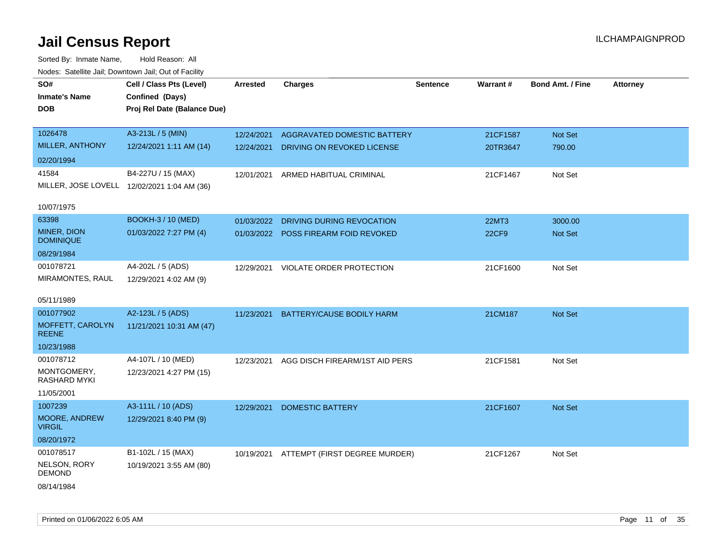| SO#<br><b>Inmate's Name</b><br><b>DOB</b>   | Cell / Class Pts (Level)<br>Confined (Days)<br>Proj Rel Date (Balance Due) | <b>Arrested</b> | <b>Charges</b>                           | <b>Sentence</b> | <b>Warrant#</b> | <b>Bond Amt. / Fine</b> | <b>Attorney</b> |
|---------------------------------------------|----------------------------------------------------------------------------|-----------------|------------------------------------------|-----------------|-----------------|-------------------------|-----------------|
| 1026478                                     | A3-213L / 5 (MIN)                                                          | 12/24/2021      | AGGRAVATED DOMESTIC BATTERY              |                 | 21CF1587        | Not Set                 |                 |
| MILLER, ANTHONY                             | 12/24/2021 1:11 AM (14)                                                    | 12/24/2021      | DRIVING ON REVOKED LICENSE               |                 | 20TR3647        | 790.00                  |                 |
| 02/20/1994                                  |                                                                            |                 |                                          |                 |                 |                         |                 |
| 41584                                       | B4-227U / 15 (MAX)                                                         | 12/01/2021      | ARMED HABITUAL CRIMINAL                  |                 | 21CF1467        | Not Set                 |                 |
| MILLER, JOSE LOVELL 12/02/2021 1:04 AM (36) |                                                                            |                 |                                          |                 |                 |                         |                 |
| 10/07/1975                                  |                                                                            |                 |                                          |                 |                 |                         |                 |
| 63398                                       | BOOKH-3 / 10 (MED)                                                         | 01/03/2022      | DRIVING DURING REVOCATION                |                 | <b>22MT3</b>    | 3000.00                 |                 |
| MINER, DION<br><b>DOMINIQUE</b>             | 01/03/2022 7:27 PM (4)                                                     |                 | 01/03/2022 POSS FIREARM FOID REVOKED     |                 | <b>22CF9</b>    | Not Set                 |                 |
| 08/29/1984                                  |                                                                            |                 |                                          |                 |                 |                         |                 |
| 001078721                                   | A4-202L / 5 (ADS)                                                          |                 | 12/29/2021 VIOLATE ORDER PROTECTION      |                 | 21CF1600        | Not Set                 |                 |
| MIRAMONTES, RAUL                            | 12/29/2021 4:02 AM (9)                                                     |                 |                                          |                 |                 |                         |                 |
| 05/11/1989                                  |                                                                            |                 |                                          |                 |                 |                         |                 |
| 001077902                                   | A2-123L / 5 (ADS)                                                          | 11/23/2021      | <b>BATTERY/CAUSE BODILY HARM</b>         |                 | 21CM187         | <b>Not Set</b>          |                 |
| MOFFETT, CAROLYN<br><b>REENE</b>            | 11/21/2021 10:31 AM (47)                                                   |                 |                                          |                 |                 |                         |                 |
| 10/23/1988                                  |                                                                            |                 |                                          |                 |                 |                         |                 |
| 001078712                                   | A4-107L / 10 (MED)                                                         | 12/23/2021      | AGG DISCH FIREARM/1ST AID PERS           |                 | 21CF1581        | Not Set                 |                 |
| MONTGOMERY,<br>RASHARD MYKI                 | 12/23/2021 4:27 PM (15)                                                    |                 |                                          |                 |                 |                         |                 |
| 11/05/2001                                  |                                                                            |                 |                                          |                 |                 |                         |                 |
| 1007239                                     | A3-111L / 10 (ADS)                                                         | 12/29/2021      | <b>DOMESTIC BATTERY</b>                  |                 | 21CF1607        | <b>Not Set</b>          |                 |
| <b>MOORE, ANDREW</b><br><b>VIRGIL</b>       | 12/29/2021 8:40 PM (9)                                                     |                 |                                          |                 |                 |                         |                 |
| 08/20/1972                                  |                                                                            |                 |                                          |                 |                 |                         |                 |
| 001078517                                   | B1-102L / 15 (MAX)                                                         |                 | 10/19/2021 ATTEMPT (FIRST DEGREE MURDER) |                 | 21CF1267        | Not Set                 |                 |
| NELSON, RORY<br><b>DEMOND</b>               | 10/19/2021 3:55 AM (80)                                                    |                 |                                          |                 |                 |                         |                 |
| 08/14/1984                                  |                                                                            |                 |                                          |                 |                 |                         |                 |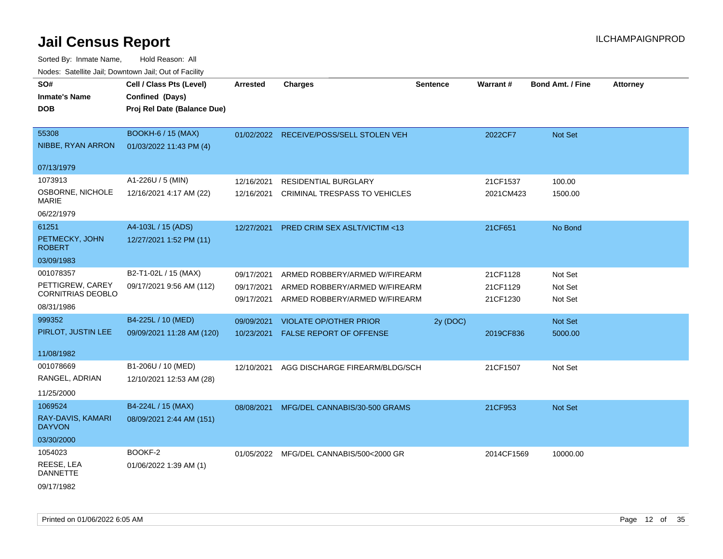| vouco. Odichite Jan, Downtown Jan, Out of Facility |                                             |                 |                                         |                 |                 |                         |                 |
|----------------------------------------------------|---------------------------------------------|-----------------|-----------------------------------------|-----------------|-----------------|-------------------------|-----------------|
| SO#<br><b>Inmate's Name</b>                        | Cell / Class Pts (Level)<br>Confined (Days) | <b>Arrested</b> | <b>Charges</b>                          | <b>Sentence</b> | <b>Warrant#</b> | <b>Bond Amt. / Fine</b> | <b>Attorney</b> |
| <b>DOB</b>                                         | Proj Rel Date (Balance Due)                 |                 |                                         |                 |                 |                         |                 |
| 55308                                              | <b>BOOKH-6 / 15 (MAX)</b>                   |                 | 01/02/2022 RECEIVE/POSS/SELL STOLEN VEH |                 | 2022CF7         | Not Set                 |                 |
| NIBBE, RYAN ARRON                                  | 01/03/2022 11:43 PM (4)                     |                 |                                         |                 |                 |                         |                 |
| 07/13/1979                                         |                                             |                 |                                         |                 |                 |                         |                 |
| 1073913                                            | A1-226U / 5 (MIN)                           | 12/16/2021      | <b>RESIDENTIAL BURGLARY</b>             |                 | 21CF1537        | 100.00                  |                 |
| OSBORNE, NICHOLE<br>MARIE                          | 12/16/2021 4:17 AM (22)                     | 12/16/2021      | CRIMINAL TRESPASS TO VEHICLES           |                 | 2021CM423       | 1500.00                 |                 |
| 06/22/1979                                         |                                             |                 |                                         |                 |                 |                         |                 |
| 61251                                              | A4-103L / 15 (ADS)                          | 12/27/2021      | <b>PRED CRIM SEX ASLT/VICTIM &lt;13</b> |                 | 21CF651         | No Bond                 |                 |
| PETMECKY, JOHN<br><b>ROBERT</b>                    | 12/27/2021 1:52 PM (11)                     |                 |                                         |                 |                 |                         |                 |
| 03/09/1983                                         |                                             |                 |                                         |                 |                 |                         |                 |
| 001078357                                          | B2-T1-02L / 15 (MAX)                        | 09/17/2021      | ARMED ROBBERY/ARMED W/FIREARM           |                 | 21CF1128        | Not Set                 |                 |
| PETTIGREW, CAREY<br><b>CORNITRIAS DEOBLO</b>       | 09/17/2021 9:56 AM (112)                    | 09/17/2021      | ARMED ROBBERY/ARMED W/FIREARM           |                 | 21CF1129        | Not Set                 |                 |
| 08/31/1986                                         |                                             | 09/17/2021      | ARMED ROBBERY/ARMED W/FIREARM           |                 | 21CF1230        | Not Set                 |                 |
| 999352                                             | B4-225L / 10 (MED)                          | 09/09/2021      | <b>VIOLATE OP/OTHER PRIOR</b>           | 2y (DOC)        |                 | Not Set                 |                 |
| PIRLOT, JUSTIN LEE                                 | 09/09/2021 11:28 AM (120)                   | 10/23/2021      | <b>FALSE REPORT OF OFFENSE</b>          |                 | 2019CF836       | 5000.00                 |                 |
| 11/08/1982                                         |                                             |                 |                                         |                 |                 |                         |                 |
| 001078669                                          | B1-206U / 10 (MED)                          | 12/10/2021      | AGG DISCHARGE FIREARM/BLDG/SCH          |                 | 21CF1507        | Not Set                 |                 |
| RANGEL, ADRIAN                                     | 12/10/2021 12:53 AM (28)                    |                 |                                         |                 |                 |                         |                 |
| 11/25/2000                                         |                                             |                 |                                         |                 |                 |                         |                 |
| 1069524                                            | B4-224L / 15 (MAX)                          | 08/08/2021      | MFG/DEL CANNABIS/30-500 GRAMS           |                 | 21CF953         | <b>Not Set</b>          |                 |
| RAY-DAVIS, KAMARI<br><b>DAYVON</b>                 | 08/09/2021 2:44 AM (151)                    |                 |                                         |                 |                 |                         |                 |
| 03/30/2000                                         |                                             |                 |                                         |                 |                 |                         |                 |
| 1054023                                            | BOOKF-2                                     |                 | 01/05/2022 MFG/DEL CANNABIS/500<2000 GR |                 | 2014CF1569      | 10000.00                |                 |
| REESE, LEA<br><b>DANNETTE</b>                      | 01/06/2022 1:39 AM (1)                      |                 |                                         |                 |                 |                         |                 |
| 09/17/1982                                         |                                             |                 |                                         |                 |                 |                         |                 |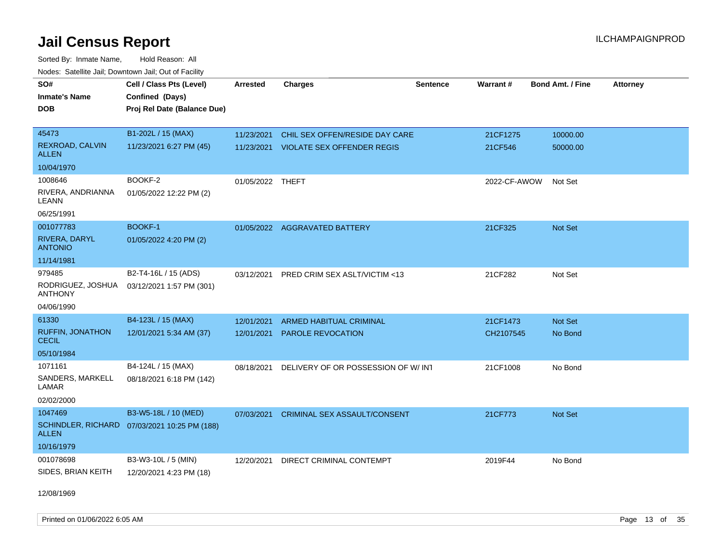Sorted By: Inmate Name, Hold Reason: All Nodes: Satellite Jail; Downtown Jail; Out of Facility

| SO#                                     | Cell / Class Pts (Level)                     | <b>Arrested</b>  | <b>Charges</b>                     | <b>Sentence</b> | Warrant#     | <b>Bond Amt. / Fine</b> | <b>Attorney</b> |
|-----------------------------------------|----------------------------------------------|------------------|------------------------------------|-----------------|--------------|-------------------------|-----------------|
| <b>Inmate's Name</b>                    | Confined (Days)                              |                  |                                    |                 |              |                         |                 |
| <b>DOB</b>                              | Proj Rel Date (Balance Due)                  |                  |                                    |                 |              |                         |                 |
|                                         |                                              |                  |                                    |                 |              |                         |                 |
| 45473                                   | B1-202L / 15 (MAX)                           | 11/23/2021       | CHIL SEX OFFEN/RESIDE DAY CARE     |                 | 21CF1275     | 10000.00                |                 |
| REXROAD, CALVIN<br><b>ALLEN</b>         | 11/23/2021 6:27 PM (45)                      | 11/23/2021       | <b>VIOLATE SEX OFFENDER REGIS</b>  |                 | 21CF546      | 50000.00                |                 |
| 10/04/1970                              |                                              |                  |                                    |                 |              |                         |                 |
| 1008646                                 | BOOKF-2                                      | 01/05/2022 THEFT |                                    |                 | 2022-CF-AWOW | Not Set                 |                 |
| RIVERA, ANDRIANNA<br>LEANN              | 01/05/2022 12:22 PM (2)                      |                  |                                    |                 |              |                         |                 |
| 06/25/1991                              |                                              |                  |                                    |                 |              |                         |                 |
| 001077783                               | <b>BOOKF-1</b>                               |                  | 01/05/2022 AGGRAVATED BATTERY      |                 | 21CF325      | Not Set                 |                 |
| RIVERA, DARYL<br><b>ANTONIO</b>         | 01/05/2022 4:20 PM (2)                       |                  |                                    |                 |              |                         |                 |
| 11/14/1981                              |                                              |                  |                                    |                 |              |                         |                 |
| 979485                                  | B2-T4-16L / 15 (ADS)                         | 03/12/2021       | PRED CRIM SEX ASLT/VICTIM <13      |                 | 21CF282      | Not Set                 |                 |
| RODRIGUEZ, JOSHUA<br><b>ANTHONY</b>     | 03/12/2021 1:57 PM (301)                     |                  |                                    |                 |              |                         |                 |
| 04/06/1990                              |                                              |                  |                                    |                 |              |                         |                 |
| 61330                                   | B4-123L / 15 (MAX)                           | 12/01/2021       | ARMED HABITUAL CRIMINAL            |                 | 21CF1473     | Not Set                 |                 |
| <b>RUFFIN, JONATHON</b><br><b>CECIL</b> | 12/01/2021 5:34 AM (37)                      | 12/01/2021       | PAROLE REVOCATION                  |                 | CH2107545    | No Bond                 |                 |
| 05/10/1984                              |                                              |                  |                                    |                 |              |                         |                 |
| 1071161                                 | B4-124L / 15 (MAX)                           | 08/18/2021       | DELIVERY OF OR POSSESSION OF W/INT |                 | 21CF1008     | No Bond                 |                 |
| SANDERS, MARKELL<br>LAMAR               | 08/18/2021 6:18 PM (142)                     |                  |                                    |                 |              |                         |                 |
| 02/02/2000                              |                                              |                  |                                    |                 |              |                         |                 |
| 1047469                                 | B3-W5-18L / 10 (MED)                         | 07/03/2021       | CRIMINAL SEX ASSAULT/CONSENT       |                 | 21CF773      | <b>Not Set</b>          |                 |
| <b>ALLEN</b>                            | SCHINDLER, RICHARD 07/03/2021 10:25 PM (188) |                  |                                    |                 |              |                         |                 |
| 10/16/1979                              |                                              |                  |                                    |                 |              |                         |                 |
| 001078698                               | B3-W3-10L / 5 (MIN)                          | 12/20/2021       | DIRECT CRIMINAL CONTEMPT           |                 | 2019F44      | No Bond                 |                 |
| SIDES, BRIAN KEITH                      | 12/20/2021 4:23 PM (18)                      |                  |                                    |                 |              |                         |                 |

12/08/1969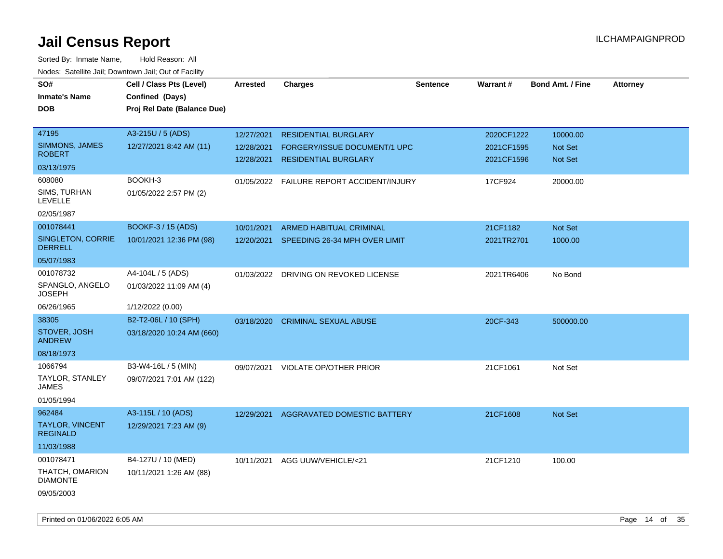| SO#<br><b>Inmate's Name</b><br><b>DOB</b>        | Cell / Class Pts (Level)<br>Confined (Days)<br>Proj Rel Date (Balance Due) | Arrested                 | <b>Charges</b>                                              | <b>Sentence</b> | Warrant#                 | <b>Bond Amt. / Fine</b>          | <b>Attorney</b> |
|--------------------------------------------------|----------------------------------------------------------------------------|--------------------------|-------------------------------------------------------------|-----------------|--------------------------|----------------------------------|-----------------|
| 47195                                            | A3-215U / 5 (ADS)                                                          | 12/27/2021               | <b>RESIDENTIAL BURGLARY</b>                                 |                 | 2020CF1222               | 10000.00                         |                 |
| SIMMONS, JAMES<br><b>ROBERT</b>                  | 12/27/2021 8:42 AM (11)                                                    | 12/28/2021<br>12/28/2021 | FORGERY/ISSUE DOCUMENT/1 UPC<br><b>RESIDENTIAL BURGLARY</b> |                 | 2021CF1595<br>2021CF1596 | <b>Not Set</b><br><b>Not Set</b> |                 |
| 03/13/1975                                       |                                                                            |                          |                                                             |                 |                          |                                  |                 |
| 608080                                           | BOOKH-3                                                                    | 01/05/2022               | FAILURE REPORT ACCIDENT/INJURY                              |                 | 17CF924                  | 20000.00                         |                 |
| SIMS, TURHAN<br><b>LEVELLE</b>                   | 01/05/2022 2:57 PM (2)                                                     |                          |                                                             |                 |                          |                                  |                 |
| 02/05/1987                                       |                                                                            |                          |                                                             |                 |                          |                                  |                 |
| 001078441                                        | <b>BOOKF-3 / 15 (ADS)</b>                                                  | 10/01/2021               | ARMED HABITUAL CRIMINAL                                     |                 | 21CF1182                 | <b>Not Set</b>                   |                 |
| SINGLETON, CORRIE<br><b>DERRELL</b>              | 10/01/2021 12:36 PM (98)                                                   |                          | 12/20/2021 SPEEDING 26-34 MPH OVER LIMIT                    |                 | 2021TR2701               | 1000.00                          |                 |
| 05/07/1983                                       |                                                                            |                          |                                                             |                 |                          |                                  |                 |
| 001078732                                        | A4-104L / 5 (ADS)                                                          |                          | 01/03/2022 DRIVING ON REVOKED LICENSE                       |                 | 2021TR6406               | No Bond                          |                 |
| SPANGLO, ANGELO<br><b>JOSEPH</b>                 | 01/03/2022 11:09 AM (4)                                                    |                          |                                                             |                 |                          |                                  |                 |
| 06/26/1965                                       | 1/12/2022 (0.00)                                                           |                          |                                                             |                 |                          |                                  |                 |
| 38305                                            | B2-T2-06L / 10 (SPH)                                                       | 03/18/2020               | <b>CRIMINAL SEXUAL ABUSE</b>                                |                 | 20CF-343                 | 500000.00                        |                 |
| STOVER, JOSH<br><b>ANDREW</b>                    | 03/18/2020 10:24 AM (660)                                                  |                          |                                                             |                 |                          |                                  |                 |
| 08/18/1973                                       |                                                                            |                          |                                                             |                 |                          |                                  |                 |
| 1066794                                          | B3-W4-16L / 5 (MIN)                                                        | 09/07/2021               | VIOLATE OP/OTHER PRIOR                                      |                 | 21CF1061                 | Not Set                          |                 |
| TAYLOR, STANLEY<br><b>JAMES</b>                  | 09/07/2021 7:01 AM (122)                                                   |                          |                                                             |                 |                          |                                  |                 |
| 01/05/1994                                       |                                                                            |                          |                                                             |                 |                          |                                  |                 |
| 962484                                           | A3-115L / 10 (ADS)                                                         | 12/29/2021               | AGGRAVATED DOMESTIC BATTERY                                 |                 | 21CF1608                 | Not Set                          |                 |
| <b>TAYLOR, VINCENT</b><br><b>REGINALD</b>        | 12/29/2021 7:23 AM (9)                                                     |                          |                                                             |                 |                          |                                  |                 |
| 11/03/1988                                       |                                                                            |                          |                                                             |                 |                          |                                  |                 |
| 001078471                                        | B4-127U / 10 (MED)                                                         | 10/11/2021               | AGG UUW/VEHICLE/<21                                         |                 | 21CF1210                 | 100.00                           |                 |
| THATCH, OMARION<br><b>DIAMONTE</b><br>09/05/2003 | 10/11/2021 1:26 AM (88)                                                    |                          |                                                             |                 |                          |                                  |                 |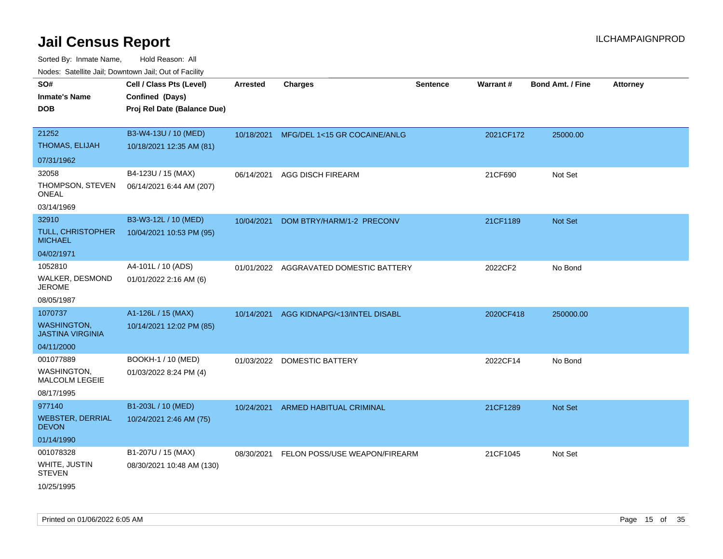| roaco. Calcinio dan, Downtown dan, Oal or Fability |                                                  |                 |                                          |                 |           |                         |                 |
|----------------------------------------------------|--------------------------------------------------|-----------------|------------------------------------------|-----------------|-----------|-------------------------|-----------------|
| SO#<br>Inmate's Name                               | Cell / Class Pts (Level)<br>Confined (Days)      | <b>Arrested</b> | Charges                                  | <b>Sentence</b> | Warrant#  | <b>Bond Amt. / Fine</b> | <b>Attorney</b> |
| DOB                                                | Proj Rel Date (Balance Due)                      |                 |                                          |                 |           |                         |                 |
| 21252<br>THOMAS, ELIJAH                            | B3-W4-13U / 10 (MED)<br>10/18/2021 12:35 AM (81) |                 | 10/18/2021 MFG/DEL 1<15 GR COCAINE/ANLG  |                 | 2021CF172 | 25000.00                |                 |
| 07/31/1962                                         |                                                  |                 |                                          |                 |           |                         |                 |
| 32058                                              | B4-123U / 15 (MAX)                               | 06/14/2021      | <b>AGG DISCH FIREARM</b>                 |                 | 21CF690   | Not Set                 |                 |
| THOMPSON, STEVEN<br>ONEAL                          | 06/14/2021 6:44 AM (207)                         |                 |                                          |                 |           |                         |                 |
| 03/14/1969                                         |                                                  |                 |                                          |                 |           |                         |                 |
| 32910                                              | B3-W3-12L / 10 (MED)                             | 10/04/2021      | DOM BTRY/HARM/1-2 PRECONV                |                 | 21CF1189  | <b>Not Set</b>          |                 |
| <b>TULL, CHRISTOPHER</b><br><b>MICHAEL</b>         | 10/04/2021 10:53 PM (95)                         |                 |                                          |                 |           |                         |                 |
| 04/02/1971                                         |                                                  |                 |                                          |                 |           |                         |                 |
| 1052810                                            | A4-101L / 10 (ADS)                               | 01/01/2022      | AGGRAVATED DOMESTIC BATTERY              |                 | 2022CF2   | No Bond                 |                 |
| WALKER, DESMOND<br>JEROME                          | 01/01/2022 2:16 AM (6)                           |                 |                                          |                 |           |                         |                 |
| 08/05/1987                                         |                                                  |                 |                                          |                 |           |                         |                 |
| 1070737                                            | A1-126L / 15 (MAX)                               | 10/14/2021      | AGG KIDNAPG/<13/INTEL DISABL             |                 | 2020CF418 | 250000.00               |                 |
| WASHINGTON.<br>JASTINA VIRGINIA                    | 10/14/2021 12:02 PM (85)                         |                 |                                          |                 |           |                         |                 |
| 04/11/2000                                         |                                                  |                 |                                          |                 |           |                         |                 |
| 001077889                                          | BOOKH-1 / 10 (MED)                               | 01/03/2022      | DOMESTIC BATTERY                         |                 | 2022CF14  | No Bond                 |                 |
| WASHINGTON,<br>MALCOLM LEGEIE                      | 01/03/2022 8:24 PM (4)                           |                 |                                          |                 |           |                         |                 |
| 08/17/1995                                         |                                                  |                 |                                          |                 |           |                         |                 |
| 977140                                             | B1-203L / 10 (MED)                               |                 | 10/24/2021 ARMED HABITUAL CRIMINAL       |                 | 21CF1289  | <b>Not Set</b>          |                 |
| <b>WEBSTER, DERRIAL</b><br><b>DEVON</b>            | 10/24/2021 2:46 AM (75)                          |                 |                                          |                 |           |                         |                 |
| 01/14/1990                                         |                                                  |                 |                                          |                 |           |                         |                 |
| 001078328                                          | B1-207U / 15 (MAX)                               |                 | 08/30/2021 FELON POSS/USE WEAPON/FIREARM |                 | 21CF1045  | Not Set                 |                 |
| WHITE, JUSTIN<br>STEVEN                            | 08/30/2021 10:48 AM (130)                        |                 |                                          |                 |           |                         |                 |
| 10/25/1995                                         |                                                  |                 |                                          |                 |           |                         |                 |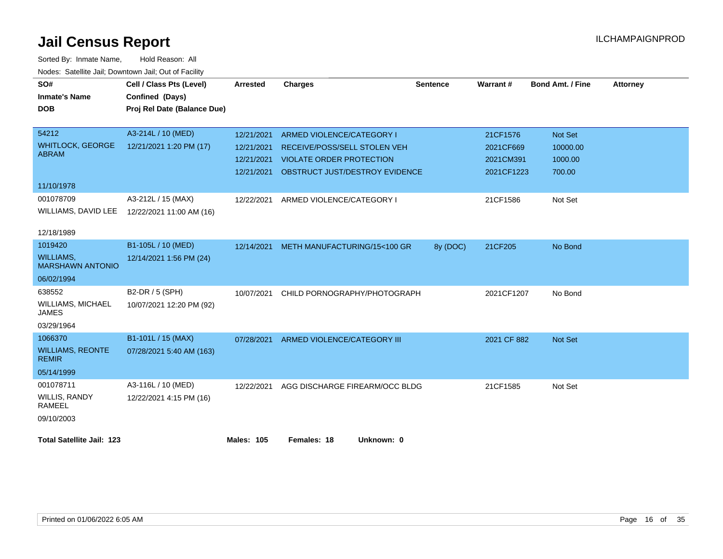| SO#                                         | Cell / Class Pts (Level)    | <b>Arrested</b>   | <b>Charges</b>                            | <b>Sentence</b> | Warrant#    | <b>Bond Amt. / Fine</b> | <b>Attorney</b> |
|---------------------------------------------|-----------------------------|-------------------|-------------------------------------------|-----------------|-------------|-------------------------|-----------------|
| <b>Inmate's Name</b>                        | Confined (Days)             |                   |                                           |                 |             |                         |                 |
| <b>DOB</b>                                  | Proj Rel Date (Balance Due) |                   |                                           |                 |             |                         |                 |
|                                             |                             |                   |                                           |                 |             |                         |                 |
| 54212                                       | A3-214L / 10 (MED)          | 12/21/2021        | ARMED VIOLENCE/CATEGORY I                 |                 | 21CF1576    | Not Set                 |                 |
| <b>WHITLOCK, GEORGE</b><br><b>ABRAM</b>     | 12/21/2021 1:20 PM (17)     | 12/21/2021        | RECEIVE/POSS/SELL STOLEN VEH              |                 | 2021CF669   | 10000.00                |                 |
|                                             |                             | 12/21/2021        | <b>VIOLATE ORDER PROTECTION</b>           |                 | 2021CM391   | 1000.00                 |                 |
|                                             |                             |                   | 12/21/2021 OBSTRUCT JUST/DESTROY EVIDENCE |                 | 2021CF1223  | 700.00                  |                 |
| 11/10/1978                                  |                             |                   |                                           |                 |             |                         |                 |
| 001078709                                   | A3-212L / 15 (MAX)          | 12/22/2021        | ARMED VIOLENCE/CATEGORY I                 |                 | 21CF1586    | Not Set                 |                 |
| WILLIAMS, DAVID LEE                         | 12/22/2021 11:00 AM (16)    |                   |                                           |                 |             |                         |                 |
|                                             |                             |                   |                                           |                 |             |                         |                 |
| 12/18/1989                                  |                             |                   |                                           |                 |             |                         |                 |
| 1019420                                     | B1-105L / 10 (MED)          |                   | 12/14/2021 METH MANUFACTURING/15<100 GR   | 8y (DOC)        | 21CF205     | No Bond                 |                 |
| <b>WILLIAMS,</b><br><b>MARSHAWN ANTONIO</b> | 12/14/2021 1:56 PM (24)     |                   |                                           |                 |             |                         |                 |
| 06/02/1994                                  |                             |                   |                                           |                 |             |                         |                 |
| 638552                                      | B2-DR / 5 (SPH)             | 10/07/2021        | CHILD PORNOGRAPHY/PHOTOGRAPH              |                 | 2021CF1207  | No Bond                 |                 |
| WILLIAMS, MICHAEL<br><b>JAMES</b>           | 10/07/2021 12:20 PM (92)    |                   |                                           |                 |             |                         |                 |
| 03/29/1964                                  |                             |                   |                                           |                 |             |                         |                 |
| 1066370                                     | B1-101L / 15 (MAX)          |                   | 07/28/2021 ARMED VIOLENCE/CATEGORY III    |                 | 2021 CF 882 | Not Set                 |                 |
| <b>WILLIAMS, REONTE</b><br><b>REMIR</b>     | 07/28/2021 5:40 AM (163)    |                   |                                           |                 |             |                         |                 |
| 05/14/1999                                  |                             |                   |                                           |                 |             |                         |                 |
| 001078711                                   | A3-116L / 10 (MED)          | 12/22/2021        | AGG DISCHARGE FIREARM/OCC BLDG            |                 | 21CF1585    | Not Set                 |                 |
| WILLIS, RANDY<br>RAMEEL                     | 12/22/2021 4:15 PM (16)     |                   |                                           |                 |             |                         |                 |
| 09/10/2003                                  |                             |                   |                                           |                 |             |                         |                 |
| <b>Total Satellite Jail: 123</b>            |                             | <b>Males: 105</b> | Females: 18<br>Unknown: 0                 |                 |             |                         |                 |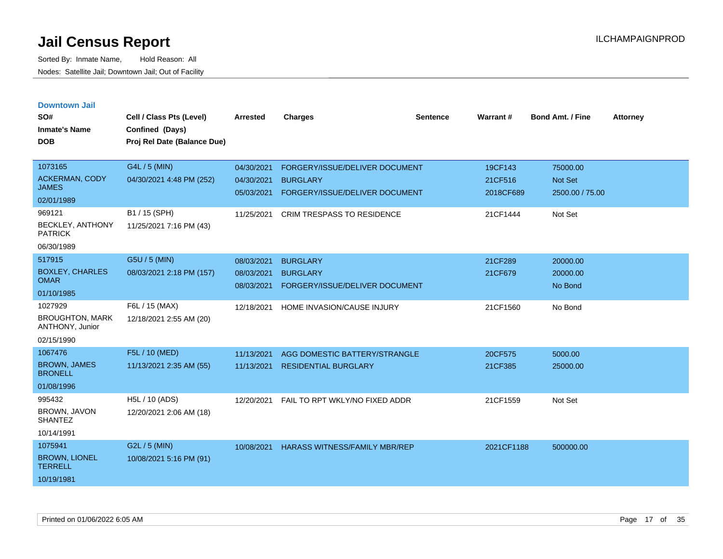|  |  | <b>Downtown Jail</b> |  |
|--|--|----------------------|--|
|  |  |                      |  |

| SO#<br><b>Inmate's Name</b><br><b>DOB</b>                                                    | Cell / Class Pts (Level)<br>Confined (Days)<br>Proj Rel Date (Balance Due)            | <b>Arrested</b>                                      | <b>Charges</b>                                                                                                           | <b>Sentence</b> | Warrant#                                    | <b>Bond Amt. / Fine</b>                           | <b>Attorney</b> |
|----------------------------------------------------------------------------------------------|---------------------------------------------------------------------------------------|------------------------------------------------------|--------------------------------------------------------------------------------------------------------------------------|-----------------|---------------------------------------------|---------------------------------------------------|-----------------|
| 1073165<br><b>ACKERMAN, CODY</b><br><b>JAMES</b><br>02/01/1989<br>969121<br>BECKLEY, ANTHONY | G4L / 5 (MIN)<br>04/30/2021 4:48 PM (252)<br>B1 / 15 (SPH)<br>11/25/2021 7:16 PM (43) | 04/30/2021<br>04/30/2021<br>05/03/2021<br>11/25/2021 | FORGERY/ISSUE/DELIVER DOCUMENT<br><b>BURGLARY</b><br>FORGERY/ISSUE/DELIVER DOCUMENT<br><b>CRIM TRESPASS TO RESIDENCE</b> |                 | 19CF143<br>21CF516<br>2018CF689<br>21CF1444 | 75000.00<br>Not Set<br>2500.00 / 75.00<br>Not Set |                 |
| <b>PATRICK</b><br>06/30/1989                                                                 |                                                                                       |                                                      |                                                                                                                          |                 |                                             |                                                   |                 |
| 517915<br><b>BOXLEY, CHARLES</b><br><b>OMAR</b><br>01/10/1985                                | G5U / 5 (MIN)<br>08/03/2021 2:18 PM (157)                                             | 08/03/2021<br>08/03/2021<br>08/03/2021               | <b>BURGLARY</b><br><b>BURGLARY</b><br>FORGERY/ISSUE/DELIVER DOCUMENT                                                     |                 | 21CF289<br>21CF679                          | 20000.00<br>20000.00<br>No Bond                   |                 |
| 1027929<br><b>BROUGHTON, MARK</b><br>ANTHONY, Junior<br>02/15/1990                           | F6L / 15 (MAX)<br>12/18/2021 2:55 AM (20)                                             | 12/18/2021                                           | HOME INVASION/CAUSE INJURY                                                                                               |                 | 21CF1560                                    | No Bond                                           |                 |
| 1067476<br><b>BROWN, JAMES</b><br><b>BRONELL</b><br>01/08/1996                               | F5L / 10 (MED)<br>11/13/2021 2:35 AM (55)                                             | 11/13/2021<br>11/13/2021                             | AGG DOMESTIC BATTERY/STRANGLE<br><b>RESIDENTIAL BURGLARY</b>                                                             |                 | 20CF575<br>21CF385                          | 5000.00<br>25000.00                               |                 |
| 995432<br>BROWN, JAVON<br><b>SHANTEZ</b><br>10/14/1991                                       | H5L / 10 (ADS)<br>12/20/2021 2:06 AM (18)                                             | 12/20/2021                                           | FAIL TO RPT WKLY/NO FIXED ADDR                                                                                           |                 | 21CF1559                                    | Not Set                                           |                 |
| 1075941<br><b>BROWN, LIONEL</b><br><b>TERRELL</b><br>10/19/1981                              | G2L / 5 (MIN)<br>10/08/2021 5:16 PM (91)                                              | 10/08/2021                                           | <b>HARASS WITNESS/FAMILY MBR/REP</b>                                                                                     |                 | 2021CF1188                                  | 500000.00                                         |                 |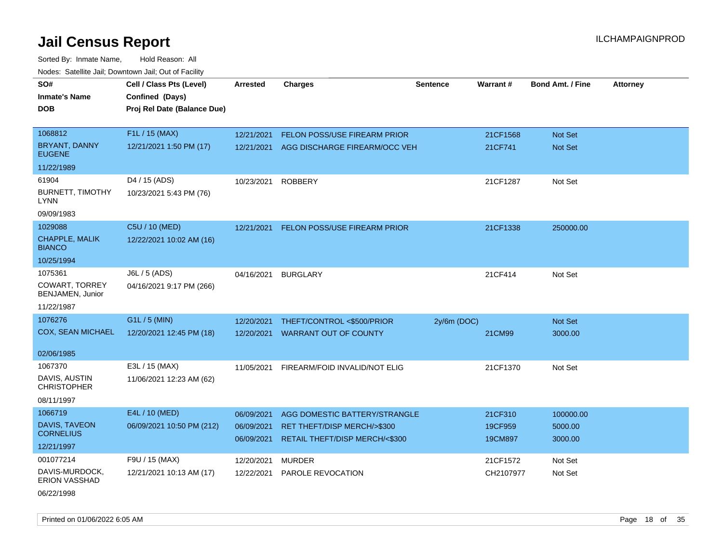Sorted By: Inmate Name, Hold Reason: All Nodes: Satellite Jail; Downtown Jail; Out of Facility

| SO#                                      | Cell / Class Pts (Level)    | <b>Arrested</b> | <b>Charges</b>                        | <b>Sentence</b> | Warrant#  | <b>Bond Amt. / Fine</b> | <b>Attorney</b> |
|------------------------------------------|-----------------------------|-----------------|---------------------------------------|-----------------|-----------|-------------------------|-----------------|
| <b>Inmate's Name</b>                     | Confined (Days)             |                 |                                       |                 |           |                         |                 |
| <b>DOB</b>                               | Proj Rel Date (Balance Due) |                 |                                       |                 |           |                         |                 |
|                                          |                             |                 |                                       |                 |           |                         |                 |
| 1068812                                  | F1L / 15 (MAX)              | 12/21/2021      | FELON POSS/USE FIREARM PRIOR          |                 | 21CF1568  | Not Set                 |                 |
| <b>BRYANT, DANNY</b><br><b>EUGENE</b>    | 12/21/2021 1:50 PM (17)     | 12/21/2021      | AGG DISCHARGE FIREARM/OCC VEH         |                 | 21CF741   | Not Set                 |                 |
| 11/22/1989                               |                             |                 |                                       |                 |           |                         |                 |
| 61904                                    | D4 / 15 (ADS)               | 10/23/2021      | <b>ROBBERY</b>                        |                 | 21CF1287  | Not Set                 |                 |
| <b>BURNETT, TIMOTHY</b><br><b>LYNN</b>   | 10/23/2021 5:43 PM (76)     |                 |                                       |                 |           |                         |                 |
| 09/09/1983                               |                             |                 |                                       |                 |           |                         |                 |
| 1029088                                  | C5U / 10 (MED)              | 12/21/2021      | FELON POSS/USE FIREARM PRIOR          |                 | 21CF1338  | 250000.00               |                 |
| CHAPPLE, MALIK<br><b>BIANCO</b>          | 12/22/2021 10:02 AM (16)    |                 |                                       |                 |           |                         |                 |
| 10/25/1994                               |                             |                 |                                       |                 |           |                         |                 |
| 1075361                                  | J6L / 5 (ADS)               | 04/16/2021      | <b>BURGLARY</b>                       |                 | 21CF414   | Not Set                 |                 |
| COWART, TORREY<br>BENJAMEN, Junior       | 04/16/2021 9:17 PM (266)    |                 |                                       |                 |           |                         |                 |
| 11/22/1987                               |                             |                 |                                       |                 |           |                         |                 |
| 1076276                                  | G1L / 5 (MIN)               | 12/20/2021      | THEFT/CONTROL <\$500/PRIOR            | $2y/6m$ (DOC)   |           | Not Set                 |                 |
| <b>COX, SEAN MICHAEL</b>                 | 12/20/2021 12:45 PM (18)    | 12/20/2021      | <b>WARRANT OUT OF COUNTY</b>          |                 | 21CM99    | 3000.00                 |                 |
|                                          |                             |                 |                                       |                 |           |                         |                 |
| 02/06/1985                               |                             |                 |                                       |                 |           |                         |                 |
| 1067370                                  | E3L / 15 (MAX)              | 11/05/2021      | FIREARM/FOID INVALID/NOT ELIG         |                 | 21CF1370  | Not Set                 |                 |
| DAVIS, AUSTIN<br><b>CHRISTOPHER</b>      | 11/06/2021 12:23 AM (62)    |                 |                                       |                 |           |                         |                 |
| 08/11/1997                               |                             |                 |                                       |                 |           |                         |                 |
| 1066719                                  | E4L / 10 (MED)              | 06/09/2021      | AGG DOMESTIC BATTERY/STRANGLE         |                 | 21CF310   | 100000.00               |                 |
| <b>DAVIS, TAVEON</b><br><b>CORNELIUS</b> | 06/09/2021 10:50 PM (212)   | 06/09/2021      | <b>RET THEFT/DISP MERCH/&gt;\$300</b> |                 | 19CF959   | 5000.00                 |                 |
|                                          |                             | 06/09/2021      | RETAIL THEFT/DISP MERCH/<\$300        |                 | 19CM897   | 3000.00                 |                 |
| 12/21/1997                               |                             |                 |                                       |                 |           |                         |                 |
| 001077214                                | F9U / 15 (MAX)              | 12/20/2021      | <b>MURDER</b>                         |                 | 21CF1572  | Not Set                 |                 |
| DAVIS-MURDOCK,<br><b>ERION VASSHAD</b>   | 12/21/2021 10:13 AM (17)    | 12/22/2021      | PAROLE REVOCATION                     |                 | CH2107977 | Not Set                 |                 |

06/22/1998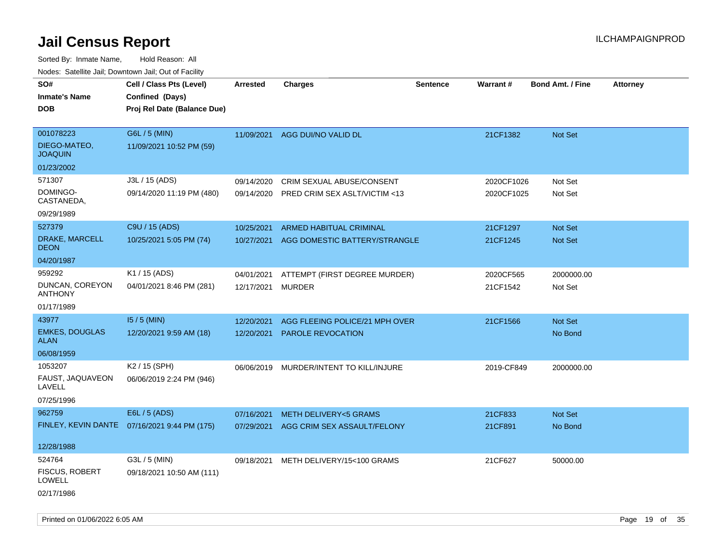| roaco. Catolino dall, Downtown dall, Out of Fability |                                              |                   |                                         |                 |            |                         |                 |
|------------------------------------------------------|----------------------------------------------|-------------------|-----------------------------------------|-----------------|------------|-------------------------|-----------------|
| SO#                                                  | Cell / Class Pts (Level)                     | Arrested          | <b>Charges</b>                          | <b>Sentence</b> | Warrant#   | <b>Bond Amt. / Fine</b> | <b>Attorney</b> |
| <b>Inmate's Name</b>                                 | Confined (Days)                              |                   |                                         |                 |            |                         |                 |
| <b>DOB</b>                                           | Proj Rel Date (Balance Due)                  |                   |                                         |                 |            |                         |                 |
|                                                      |                                              |                   |                                         |                 |            |                         |                 |
| 001078223                                            | G6L / 5 (MIN)                                |                   | 11/09/2021 AGG DUI/NO VALID DL          |                 | 21CF1382   | <b>Not Set</b>          |                 |
| DIEGO-MATEO,<br><b>JOAQUIN</b>                       | 11/09/2021 10:52 PM (59)                     |                   |                                         |                 |            |                         |                 |
| 01/23/2002                                           |                                              |                   |                                         |                 |            |                         |                 |
| 571307                                               | J3L / 15 (ADS)                               | 09/14/2020        | CRIM SEXUAL ABUSE/CONSENT               |                 | 2020CF1026 | Not Set                 |                 |
| DOMINGO-<br>CASTANEDA,                               | 09/14/2020 11:19 PM (480)                    | 09/14/2020        | PRED CRIM SEX ASLT/VICTIM <13           |                 | 2020CF1025 | Not Set                 |                 |
| 09/29/1989                                           |                                              |                   |                                         |                 |            |                         |                 |
| 527379                                               | C9U / 15 (ADS)                               | 10/25/2021        | ARMED HABITUAL CRIMINAL                 |                 | 21CF1297   | Not Set                 |                 |
| DRAKE, MARCELL<br><b>DEON</b>                        | 10/25/2021 5:05 PM (74)                      | 10/27/2021        | AGG DOMESTIC BATTERY/STRANGLE           |                 | 21CF1245   | Not Set                 |                 |
| 04/20/1987                                           |                                              |                   |                                         |                 |            |                         |                 |
| 959292                                               | K1 / 15 (ADS)                                | 04/01/2021        | ATTEMPT (FIRST DEGREE MURDER)           |                 | 2020CF565  | 2000000.00              |                 |
| DUNCAN, COREYON<br><b>ANTHONY</b>                    | 04/01/2021 8:46 PM (281)                     | 12/17/2021 MURDER |                                         |                 | 21CF1542   | Not Set                 |                 |
| 01/17/1989                                           |                                              |                   |                                         |                 |            |                         |                 |
| 43977                                                | $15/5$ (MIN)                                 | 12/20/2021        | AGG FLEEING POLICE/21 MPH OVER          |                 | 21CF1566   | <b>Not Set</b>          |                 |
| <b>EMKES, DOUGLAS</b><br>ALAN                        | 12/20/2021 9:59 AM (18)                      | 12/20/2021        | PAROLE REVOCATION                       |                 |            | No Bond                 |                 |
| 06/08/1959                                           |                                              |                   |                                         |                 |            |                         |                 |
| 1053207                                              | K2 / 15 (SPH)                                |                   | 06/06/2019 MURDER/INTENT TO KILL/INJURE |                 | 2019-CF849 | 2000000.00              |                 |
| FAUST, JAQUAVEON<br>LAVELL                           | 06/06/2019 2:24 PM (946)                     |                   |                                         |                 |            |                         |                 |
| 07/25/1996                                           |                                              |                   |                                         |                 |            |                         |                 |
| 962759                                               | E6L / 5 (ADS)                                | 07/16/2021        | <b>METH DELIVERY&lt;5 GRAMS</b>         |                 | 21CF833    | Not Set                 |                 |
|                                                      | FINLEY, KEVIN DANTE 07/16/2021 9:44 PM (175) |                   | 07/29/2021 AGG CRIM SEX ASSAULT/FELONY  |                 | 21CF891    | No Bond                 |                 |
|                                                      |                                              |                   |                                         |                 |            |                         |                 |
| 12/28/1988                                           |                                              |                   |                                         |                 |            |                         |                 |
| 524764                                               | G3L / 5 (MIN)                                |                   | 09/18/2021 METH DELIVERY/15<100 GRAMS   |                 | 21CF627    | 50000.00                |                 |
| <b>FISCUS, ROBERT</b><br><b>LOWELL</b>               | 09/18/2021 10:50 AM (111)                    |                   |                                         |                 |            |                         |                 |
| 02/17/1986                                           |                                              |                   |                                         |                 |            |                         |                 |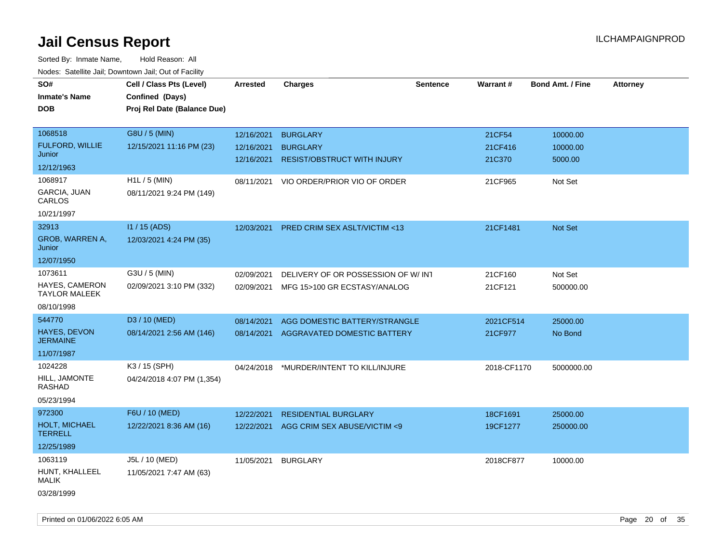| <b>NOULD:</b> Catoline can, Downtown can, Out of Fability |                             |                 |                                          |                 |             |                         |                 |
|-----------------------------------------------------------|-----------------------------|-----------------|------------------------------------------|-----------------|-------------|-------------------------|-----------------|
| SO#                                                       | Cell / Class Pts (Level)    | <b>Arrested</b> | <b>Charges</b>                           | <b>Sentence</b> | Warrant#    | <b>Bond Amt. / Fine</b> | <b>Attorney</b> |
| <b>Inmate's Name</b>                                      | Confined (Days)             |                 |                                          |                 |             |                         |                 |
| <b>DOB</b>                                                | Proj Rel Date (Balance Due) |                 |                                          |                 |             |                         |                 |
|                                                           |                             |                 |                                          |                 |             |                         |                 |
| 1068518                                                   | G8U / 5 (MIN)               | 12/16/2021      | <b>BURGLARY</b>                          |                 | 21CF54      | 10000.00                |                 |
| FULFORD, WILLIE                                           | 12/15/2021 11:16 PM (23)    | 12/16/2021      | <b>BURGLARY</b>                          |                 | 21CF416     | 10000.00                |                 |
| Junior                                                    |                             | 12/16/2021      | <b>RESIST/OBSTRUCT WITH INJURY</b>       |                 | 21C370      | 5000.00                 |                 |
| 12/12/1963                                                |                             |                 |                                          |                 |             |                         |                 |
| 1068917                                                   | $H1L / 5$ (MIN)             | 08/11/2021      | VIO ORDER/PRIOR VIO OF ORDER             |                 | 21CF965     | Not Set                 |                 |
| GARCIA, JUAN<br>CARLOS                                    | 08/11/2021 9:24 PM (149)    |                 |                                          |                 |             |                         |                 |
| 10/21/1997                                                |                             |                 |                                          |                 |             |                         |                 |
| 32913                                                     | I1 / 15 (ADS)               | 12/03/2021      | PRED CRIM SEX ASLT/VICTIM <13            |                 | 21CF1481    | Not Set                 |                 |
| <b>GROB, WARREN A,</b><br>Junior                          | 12/03/2021 4:24 PM (35)     |                 |                                          |                 |             |                         |                 |
| 12/07/1950                                                |                             |                 |                                          |                 |             |                         |                 |
| 1073611                                                   | G3U / 5 (MIN)               | 02/09/2021      | DELIVERY OF OR POSSESSION OF W/INT       |                 | 21CF160     | Not Set                 |                 |
| HAYES, CAMERON<br><b>TAYLOR MALEEK</b>                    | 02/09/2021 3:10 PM (332)    | 02/09/2021      | MFG 15>100 GR ECSTASY/ANALOG             |                 | 21CF121     | 500000.00               |                 |
| 08/10/1998                                                |                             |                 |                                          |                 |             |                         |                 |
| 544770                                                    | D3 / 10 (MED)               | 08/14/2021      | AGG DOMESTIC BATTERY/STRANGLE            |                 | 2021CF514   | 25000.00                |                 |
| <b>HAYES, DEVON</b><br><b>JERMAINE</b>                    | 08/14/2021 2:56 AM (146)    | 08/14/2021      | AGGRAVATED DOMESTIC BATTERY              |                 | 21CF977     | No Bond                 |                 |
| 11/07/1987                                                |                             |                 |                                          |                 |             |                         |                 |
| 1024228                                                   | K3 / 15 (SPH)               |                 | 04/24/2018 *MURDER/INTENT TO KILL/INJURE |                 | 2018-CF1170 | 5000000.00              |                 |
| HILL, JAMONTE<br><b>RASHAD</b>                            | 04/24/2018 4:07 PM (1,354)  |                 |                                          |                 |             |                         |                 |
| 05/23/1994                                                |                             |                 |                                          |                 |             |                         |                 |
| 972300                                                    | F6U / 10 (MED)              | 12/22/2021      | <b>RESIDENTIAL BURGLARY</b>              |                 | 18CF1691    | 25000.00                |                 |
| <b>HOLT, MICHAEL</b><br><b>TERRELL</b>                    | 12/22/2021 8:36 AM (16)     | 12/22/2021      | AGG CRIM SEX ABUSE/VICTIM <9             |                 | 19CF1277    | 250000.00               |                 |
| 12/25/1989                                                |                             |                 |                                          |                 |             |                         |                 |
| 1063119                                                   | J5L / 10 (MED)              | 11/05/2021      | <b>BURGLARY</b>                          |                 | 2018CF877   | 10000.00                |                 |
| HUNT, KHALLEEL<br><b>MALIK</b>                            | 11/05/2021 7:47 AM (63)     |                 |                                          |                 |             |                         |                 |
| 03/28/1999                                                |                             |                 |                                          |                 |             |                         |                 |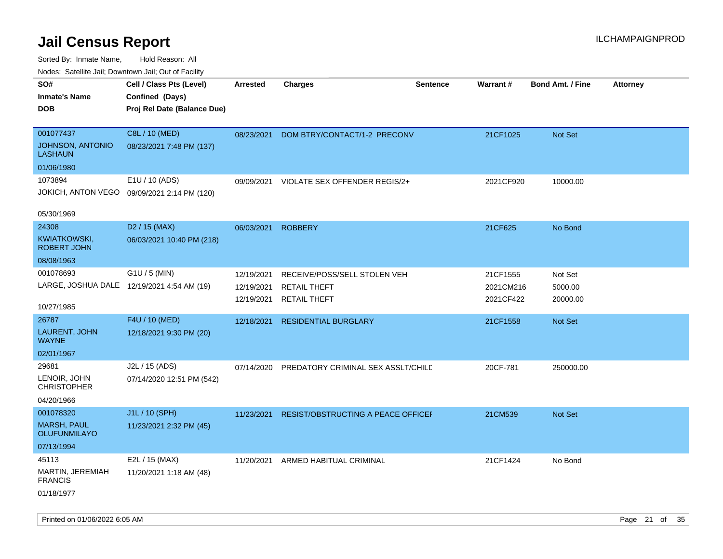| inodes: Satellite Jali, Downtown Jali, Out of Facility |                             |                 |                                    |                 |                 |                         |                 |
|--------------------------------------------------------|-----------------------------|-----------------|------------------------------------|-----------------|-----------------|-------------------------|-----------------|
| SO#                                                    | Cell / Class Pts (Level)    | <b>Arrested</b> | <b>Charges</b>                     | <b>Sentence</b> | <b>Warrant#</b> | <b>Bond Amt. / Fine</b> | <b>Attorney</b> |
| <b>Inmate's Name</b>                                   | Confined (Days)             |                 |                                    |                 |                 |                         |                 |
| <b>DOB</b>                                             | Proj Rel Date (Balance Due) |                 |                                    |                 |                 |                         |                 |
|                                                        |                             |                 |                                    |                 |                 |                         |                 |
| 001077437                                              | C8L / 10 (MED)              | 08/23/2021      | DOM BTRY/CONTACT/1-2 PRECONV       |                 | 21CF1025        | Not Set                 |                 |
| <b>JOHNSON, ANTONIO</b><br><b>LASHAUN</b>              | 08/23/2021 7:48 PM (137)    |                 |                                    |                 |                 |                         |                 |
| 01/06/1980                                             |                             |                 |                                    |                 |                 |                         |                 |
| 1073894                                                | E1U / 10 (ADS)              | 09/09/2021      | VIOLATE SEX OFFENDER REGIS/2+      |                 | 2021CF920       | 10000.00                |                 |
| JOKICH, ANTON VEGO                                     | 09/09/2021 2:14 PM (120)    |                 |                                    |                 |                 |                         |                 |
|                                                        |                             |                 |                                    |                 |                 |                         |                 |
| 05/30/1969                                             |                             |                 |                                    |                 |                 |                         |                 |
| 24308                                                  | D <sub>2</sub> / 15 (MAX)   | 06/03/2021      | <b>ROBBERY</b>                     |                 | 21CF625         | No Bond                 |                 |
| KWIATKOWSKI,<br><b>ROBERT JOHN</b>                     | 06/03/2021 10:40 PM (218)   |                 |                                    |                 |                 |                         |                 |
| 08/08/1963                                             |                             |                 |                                    |                 |                 |                         |                 |
| 001078693                                              | G1U / 5 (MIN)               | 12/19/2021      | RECEIVE/POSS/SELL STOLEN VEH       |                 | 21CF1555        | Not Set                 |                 |
| LARGE, JOSHUA DALE 12/19/2021 4:54 AM (19)             |                             | 12/19/2021      | <b>RETAIL THEFT</b>                |                 | 2021CM216       | 5000.00                 |                 |
|                                                        |                             | 12/19/2021      | <b>RETAIL THEFT</b>                |                 | 2021CF422       | 20000.00                |                 |
| 10/27/1985                                             |                             |                 |                                    |                 |                 |                         |                 |
| 26787                                                  | F4U / 10 (MED)              | 12/18/2021      | <b>RESIDENTIAL BURGLARY</b>        |                 | 21CF1558        | Not Set                 |                 |
| LAURENT, JOHN<br><b>WAYNE</b>                          | 12/18/2021 9:30 PM (20)     |                 |                                    |                 |                 |                         |                 |
| 02/01/1967                                             |                             |                 |                                    |                 |                 |                         |                 |
| 29681                                                  | J2L / 15 (ADS)              | 07/14/2020      | PREDATORY CRIMINAL SEX ASSLT/CHILD |                 | 20CF-781        | 250000.00               |                 |
| LENOIR, JOHN<br><b>CHRISTOPHER</b>                     | 07/14/2020 12:51 PM (542)   |                 |                                    |                 |                 |                         |                 |
| 04/20/1966                                             |                             |                 |                                    |                 |                 |                         |                 |
| 001078320                                              | J1L / 10 (SPH)              | 11/23/2021      | RESIST/OBSTRUCTING A PEACE OFFICEF |                 | 21CM539         | <b>Not Set</b>          |                 |
| <b>MARSH, PAUL</b><br><b>OLUFUNMILAYO</b>              | 11/23/2021 2:32 PM (45)     |                 |                                    |                 |                 |                         |                 |
| 07/13/1994                                             |                             |                 |                                    |                 |                 |                         |                 |
| 45113                                                  | E2L / 15 (MAX)              | 11/20/2021      | ARMED HABITUAL CRIMINAL            |                 | 21CF1424        | No Bond                 |                 |
| MARTIN, JEREMIAH<br><b>FRANCIS</b>                     | 11/20/2021 1:18 AM (48)     |                 |                                    |                 |                 |                         |                 |
| 01/18/1977                                             |                             |                 |                                    |                 |                 |                         |                 |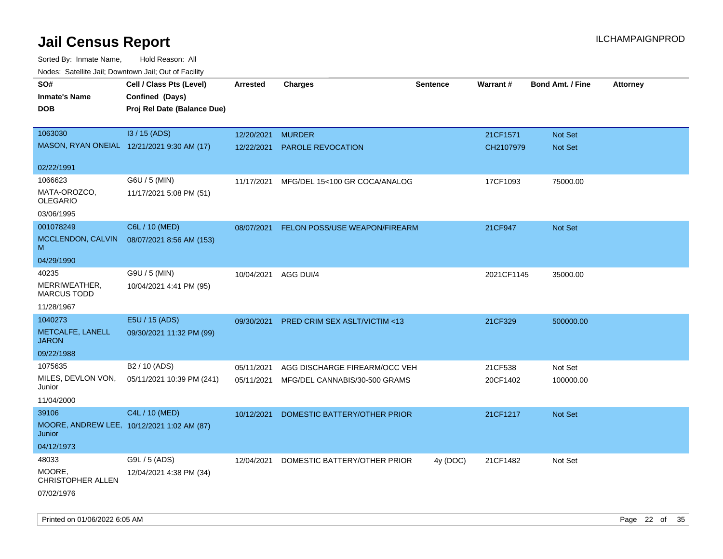| ivuutos. Saltiilit Jali, Duwilluwii Jali, Oul of Facility |                                            |            |                                         |          |            |                         |                 |
|-----------------------------------------------------------|--------------------------------------------|------------|-----------------------------------------|----------|------------|-------------------------|-----------------|
| SO#                                                       | Cell / Class Pts (Level)                   | Arrested   | <b>Charges</b>                          | Sentence | Warrant#   | <b>Bond Amt. / Fine</b> | <b>Attorney</b> |
| <b>Inmate's Name</b>                                      | Confined (Days)                            |            |                                         |          |            |                         |                 |
| <b>DOB</b>                                                | Proj Rel Date (Balance Due)                |            |                                         |          |            |                         |                 |
|                                                           |                                            |            |                                         |          |            |                         |                 |
| 1063030                                                   | I3 / 15 (ADS)                              | 12/20/2021 | <b>MURDER</b>                           |          | 21CF1571   | <b>Not Set</b>          |                 |
|                                                           | MASON, RYAN ONEIAL 12/21/2021 9:30 AM (17) | 12/22/2021 | <b>PAROLE REVOCATION</b>                |          | CH2107979  | <b>Not Set</b>          |                 |
|                                                           |                                            |            |                                         |          |            |                         |                 |
| 02/22/1991                                                |                                            |            |                                         |          |            |                         |                 |
| 1066623                                                   | G6U / 5 (MIN)                              | 11/17/2021 | MFG/DEL 15<100 GR COCA/ANALOG           |          | 17CF1093   | 75000.00                |                 |
| MATA-OROZCO,<br><b>OLEGARIO</b>                           | 11/17/2021 5:08 PM (51)                    |            |                                         |          |            |                         |                 |
| 03/06/1995                                                |                                            |            |                                         |          |            |                         |                 |
| 001078249                                                 | C6L / 10 (MED)                             | 08/07/2021 | <b>FELON POSS/USE WEAPON/FIREARM</b>    |          | 21CF947    | Not Set                 |                 |
| MCCLENDON, CALVIN<br>M                                    | 08/07/2021 8:56 AM (153)                   |            |                                         |          |            |                         |                 |
| 04/29/1990                                                |                                            |            |                                         |          |            |                         |                 |
| 40235                                                     | G9U / 5 (MIN)                              | 10/04/2021 | AGG DUI/4                               |          | 2021CF1145 | 35000.00                |                 |
| MERRIWEATHER,<br><b>MARCUS TODD</b>                       | 10/04/2021 4:41 PM (95)                    |            |                                         |          |            |                         |                 |
| 11/28/1967                                                |                                            |            |                                         |          |            |                         |                 |
| 1040273                                                   | E5U / 15 (ADS)                             | 09/30/2021 | <b>PRED CRIM SEX ASLT/VICTIM &lt;13</b> |          | 21CF329    | 500000.00               |                 |
| METCALFE, LANELL<br><b>JARON</b>                          | 09/30/2021 11:32 PM (99)                   |            |                                         |          |            |                         |                 |
| 09/22/1988                                                |                                            |            |                                         |          |            |                         |                 |
| 1075635                                                   | B2 / 10 (ADS)                              | 05/11/2021 | AGG DISCHARGE FIREARM/OCC VEH           |          | 21CF538    | Not Set                 |                 |
| MILES, DEVLON VON,<br>Junior                              | 05/11/2021 10:39 PM (241)                  | 05/11/2021 | MFG/DEL CANNABIS/30-500 GRAMS           |          | 20CF1402   | 100000.00               |                 |
| 11/04/2000                                                |                                            |            |                                         |          |            |                         |                 |
| 39106                                                     | C4L / 10 (MED)                             | 10/12/2021 | DOMESTIC BATTERY/OTHER PRIOR            |          | 21CF1217   | <b>Not Set</b>          |                 |
| Junior                                                    | MOORE, ANDREW LEE, 10/12/2021 1:02 AM (87) |            |                                         |          |            |                         |                 |
| 04/12/1973                                                |                                            |            |                                         |          |            |                         |                 |
| 48033                                                     | G9L / 5 (ADS)                              | 12/04/2021 | DOMESTIC BATTERY/OTHER PRIOR            | 4y (DOC) | 21CF1482   | Not Set                 |                 |
| MOORE,<br>CHRISTOPHER ALLEN                               | 12/04/2021 4:38 PM (34)                    |            |                                         |          |            |                         |                 |
| 07/02/1976                                                |                                            |            |                                         |          |            |                         |                 |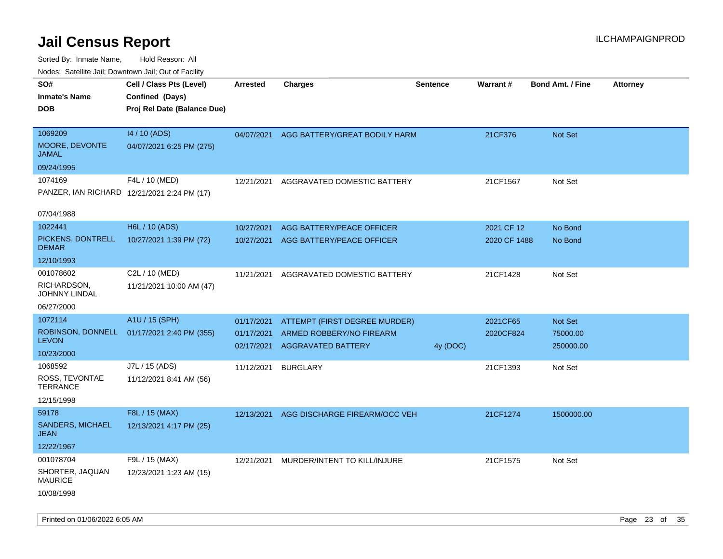| rougs. Calcing Jan, Downtown Jan, Out of Facility |                                             |                 |                                          |                 |              |                         |                 |
|---------------------------------------------------|---------------------------------------------|-----------------|------------------------------------------|-----------------|--------------|-------------------------|-----------------|
| SO#                                               | Cell / Class Pts (Level)                    | <b>Arrested</b> | Charges                                  | <b>Sentence</b> | Warrant#     | <b>Bond Amt. / Fine</b> | <b>Attorney</b> |
| <b>Inmate's Name</b>                              | Confined (Days)                             |                 |                                          |                 |              |                         |                 |
| <b>DOB</b>                                        | Proj Rel Date (Balance Due)                 |                 |                                          |                 |              |                         |                 |
|                                                   |                                             |                 |                                          |                 |              |                         |                 |
| 1069209                                           | 14 / 10 (ADS)                               |                 | 04/07/2021 AGG BATTERY/GREAT BODILY HARM |                 | 21CF376      | <b>Not Set</b>          |                 |
| <b>MOORE, DEVONTE</b><br>JAMAL                    | 04/07/2021 6:25 PM (275)                    |                 |                                          |                 |              |                         |                 |
| 09/24/1995                                        |                                             |                 |                                          |                 |              |                         |                 |
| 1074169                                           | F4L / 10 (MED)                              | 12/21/2021      | AGGRAVATED DOMESTIC BATTERY              |                 | 21CF1567     | Not Set                 |                 |
|                                                   | PANZER, IAN RICHARD 12/21/2021 2:24 PM (17) |                 |                                          |                 |              |                         |                 |
|                                                   |                                             |                 |                                          |                 |              |                         |                 |
| 07/04/1988                                        |                                             |                 |                                          |                 |              |                         |                 |
| 1022441                                           | H6L / 10 (ADS)                              | 10/27/2021      | AGG BATTERY/PEACE OFFICER                |                 | 2021 CF 12   | No Bond                 |                 |
| PICKENS, DONTRELL                                 | 10/27/2021 1:39 PM (72)                     | 10/27/2021      | AGG BATTERY/PEACE OFFICER                |                 | 2020 CF 1488 | No Bond                 |                 |
| <b>DEMAR</b>                                      |                                             |                 |                                          |                 |              |                         |                 |
| 12/10/1993                                        |                                             |                 |                                          |                 |              |                         |                 |
| 001078602                                         | C2L / 10 (MED)                              | 11/21/2021      | AGGRAVATED DOMESTIC BATTERY              |                 | 21CF1428     | Not Set                 |                 |
| RICHARDSON,<br><b>JOHNNY LINDAL</b>               | 11/21/2021 10:00 AM (47)                    |                 |                                          |                 |              |                         |                 |
| 06/27/2000                                        |                                             |                 |                                          |                 |              |                         |                 |
| 1072114                                           | A1U / 15 (SPH)                              |                 |                                          |                 |              |                         |                 |
|                                                   |                                             | 01/17/2021      | ATTEMPT (FIRST DEGREE MURDER)            |                 | 2021CF65     | Not Set                 |                 |
| <b>LEVON</b>                                      | ROBINSON, DONNELL 01/17/2021 2:40 PM (355)  | 01/17/2021      | ARMED ROBBERY/NO FIREARM                 |                 | 2020CF824    | 75000.00                |                 |
| 10/23/2000                                        |                                             | 02/17/2021      | <b>AGGRAVATED BATTERY</b>                | 4y (DOC)        |              | 250000.00               |                 |
| 1068592                                           | J7L / 15 (ADS)                              | 11/12/2021      | <b>BURGLARY</b>                          |                 | 21CF1393     | Not Set                 |                 |
| ROSS, TEVONTAE                                    | 11/12/2021 8:41 AM (56)                     |                 |                                          |                 |              |                         |                 |
| TERRANCE                                          |                                             |                 |                                          |                 |              |                         |                 |
| 12/15/1998                                        |                                             |                 |                                          |                 |              |                         |                 |
| 59178                                             | F8L / 15 (MAX)                              | 12/13/2021      | AGG DISCHARGE FIREARM/OCC VEH            |                 | 21CF1274     | 1500000.00              |                 |
| SANDERS, MICHAEL<br>JEAN                          | 12/13/2021 4:17 PM (25)                     |                 |                                          |                 |              |                         |                 |
| 12/22/1967                                        |                                             |                 |                                          |                 |              |                         |                 |
| 001078704                                         | F9L / 15 (MAX)                              | 12/21/2021      | MURDER/INTENT TO KILL/INJURE             |                 | 21CF1575     | Not Set                 |                 |
| SHORTER, JAQUAN<br><b>MAURICE</b>                 | 12/23/2021 1:23 AM (15)                     |                 |                                          |                 |              |                         |                 |
| 10/08/1998                                        |                                             |                 |                                          |                 |              |                         |                 |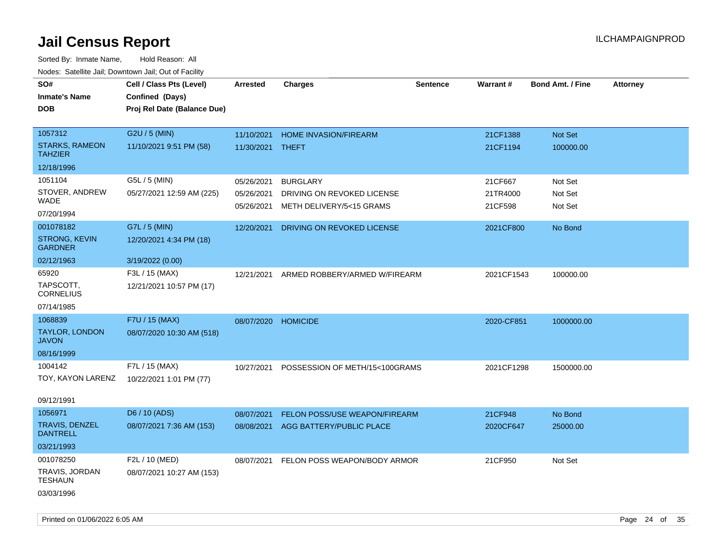| SO#<br><b>Inmate's Name</b><br><b>DOB</b> | Cell / Class Pts (Level)<br>Confined (Days)<br>Proj Rel Date (Balance Due) | Arrested                 | <b>Charges</b>                       | <b>Sentence</b> | Warrant#   | <b>Bond Amt. / Fine</b> | <b>Attorney</b> |
|-------------------------------------------|----------------------------------------------------------------------------|--------------------------|--------------------------------------|-----------------|------------|-------------------------|-----------------|
| 1057312                                   | G2U / 5 (MIN)                                                              | 11/10/2021               | HOME INVASION/FIREARM                |                 | 21CF1388   | Not Set                 |                 |
| <b>STARKS, RAMEON</b><br><b>TAHZIER</b>   | 11/10/2021 9:51 PM (58)                                                    | 11/30/2021 THEFT         |                                      |                 | 21CF1194   | 100000.00               |                 |
| 12/18/1996                                |                                                                            |                          |                                      |                 |            |                         |                 |
| 1051104                                   | G5L / 5 (MIN)                                                              | 05/26/2021               | <b>BURGLARY</b>                      |                 | 21CF667    | Not Set                 |                 |
| STOVER, ANDREW<br>WADE                    | 05/27/2021 12:59 AM (225)                                                  | 05/26/2021<br>05/26/2021 | DRIVING ON REVOKED LICENSE           |                 | 21TR4000   | Not Set<br>Not Set      |                 |
| 07/20/1994                                |                                                                            |                          | METH DELIVERY/5<15 GRAMS             |                 | 21CF598    |                         |                 |
| 001078182                                 | G7L / 5 (MIN)                                                              | 12/20/2021               | DRIVING ON REVOKED LICENSE           |                 | 2021CF800  | No Bond                 |                 |
| <b>STRONG, KEVIN</b><br><b>GARDNER</b>    | 12/20/2021 4:34 PM (18)                                                    |                          |                                      |                 |            |                         |                 |
| 02/12/1963                                | 3/19/2022 (0.00)                                                           |                          |                                      |                 |            |                         |                 |
| 65920                                     | F3L / 15 (MAX)                                                             | 12/21/2021               | ARMED ROBBERY/ARMED W/FIREARM        |                 | 2021CF1543 | 100000.00               |                 |
| TAPSCOTT,<br><b>CORNELIUS</b>             | 12/21/2021 10:57 PM (17)                                                   |                          |                                      |                 |            |                         |                 |
| 07/14/1985                                |                                                                            |                          |                                      |                 |            |                         |                 |
| 1068839                                   | F7U / 15 (MAX)                                                             | 08/07/2020               | <b>HOMICIDE</b>                      |                 | 2020-CF851 | 1000000.00              |                 |
| <b>TAYLOR, LONDON</b><br><b>JAVON</b>     | 08/07/2020 10:30 AM (518)                                                  |                          |                                      |                 |            |                         |                 |
| 08/16/1999                                |                                                                            |                          |                                      |                 |            |                         |                 |
| 1004142                                   | F7L / 15 (MAX)                                                             | 10/27/2021               | POSSESSION OF METH/15<100GRAMS       |                 | 2021CF1298 | 1500000.00              |                 |
| TOY, KAYON LARENZ                         | 10/22/2021 1:01 PM (77)                                                    |                          |                                      |                 |            |                         |                 |
| 09/12/1991                                |                                                                            |                          |                                      |                 |            |                         |                 |
| 1056971                                   | D6 / 10 (ADS)                                                              | 08/07/2021               | <b>FELON POSS/USE WEAPON/FIREARM</b> |                 | 21CF948    | No Bond                 |                 |
| TRAVIS, DENZEL<br><b>DANTRELL</b>         | 08/07/2021 7:36 AM (153)                                                   | 08/08/2021               | AGG BATTERY/PUBLIC PLACE             |                 | 2020CF647  | 25000.00                |                 |
| 03/21/1993                                |                                                                            |                          |                                      |                 |            |                         |                 |
| 001078250                                 | F2L / 10 (MED)                                                             | 08/07/2021               | FELON POSS WEAPON/BODY ARMOR         |                 | 21CF950    | Not Set                 |                 |
| TRAVIS, JORDAN<br>TESHAUN                 | 08/07/2021 10:27 AM (153)                                                  |                          |                                      |                 |            |                         |                 |
| 03/03/1996                                |                                                                            |                          |                                      |                 |            |                         |                 |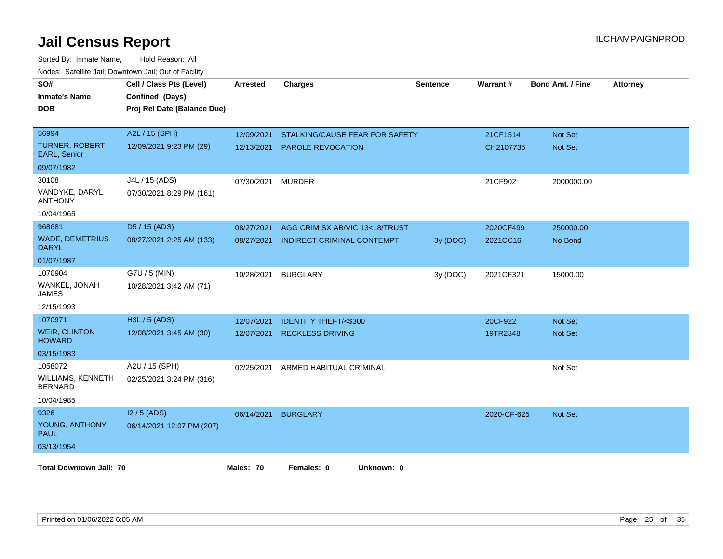| SO#<br><b>Inmate's Name</b><br><b>DOB</b>  | Cell / Class Pts (Level)<br>Confined (Days)<br>Proj Rel Date (Balance Due) | <b>Arrested</b> | <b>Charges</b>                  | <b>Sentence</b> | Warrant#    | <b>Bond Amt. / Fine</b> | <b>Attorney</b> |
|--------------------------------------------|----------------------------------------------------------------------------|-----------------|---------------------------------|-----------------|-------------|-------------------------|-----------------|
| 56994                                      | A2L / 15 (SPH)                                                             | 12/09/2021      | STALKING/CAUSE FEAR FOR SAFETY  |                 | 21CF1514    | <b>Not Set</b>          |                 |
| <b>TURNER, ROBERT</b><br>EARL, Senior      | 12/09/2021 9:23 PM (29)                                                    | 12/13/2021      | PAROLE REVOCATION               |                 | CH2107735   | Not Set                 |                 |
| 09/07/1982                                 |                                                                            |                 |                                 |                 |             |                         |                 |
| 30108                                      | J4L / 15 (ADS)                                                             | 07/30/2021      | <b>MURDER</b>                   |                 | 21CF902     | 2000000.00              |                 |
| VANDYKE, DARYL<br><b>ANTHONY</b>           | 07/30/2021 8:29 PM (161)                                                   |                 |                                 |                 |             |                         |                 |
| 10/04/1965                                 |                                                                            |                 |                                 |                 |             |                         |                 |
| 968681                                     | D5 / 15 (ADS)                                                              | 08/27/2021      | AGG CRIM SX AB/VIC 13<18/TRUST  |                 | 2020CF499   | 250000.00               |                 |
| <b>WADE, DEMETRIUS</b><br><b>DARYL</b>     | 08/27/2021 2:25 AM (133)                                                   | 08/27/2021      | INDIRECT CRIMINAL CONTEMPT      | 3y (DOC)        | 2021CC16    | No Bond                 |                 |
| 01/07/1987                                 |                                                                            |                 |                                 |                 |             |                         |                 |
| 1070904                                    | G7U / 5 (MIN)                                                              | 10/28/2021      | <b>BURGLARY</b>                 | 3y (DOC)        | 2021CF321   | 15000.00                |                 |
| WANKEL, JONAH<br><b>JAMES</b>              | 10/28/2021 3:42 AM (71)                                                    |                 |                                 |                 |             |                         |                 |
| 12/15/1993                                 |                                                                            |                 |                                 |                 |             |                         |                 |
| 1070971                                    | H3L / 5 (ADS)                                                              | 12/07/2021      | <b>IDENTITY THEFT/&lt;\$300</b> |                 | 20CF922     | <b>Not Set</b>          |                 |
| <b>WEIR, CLINTON</b><br><b>HOWARD</b>      | 12/08/2021 3:45 AM (30)                                                    | 12/07/2021      | <b>RECKLESS DRIVING</b>         |                 | 19TR2348    | <b>Not Set</b>          |                 |
| 03/15/1983                                 |                                                                            |                 |                                 |                 |             |                         |                 |
| 1058072                                    | A2U / 15 (SPH)                                                             | 02/25/2021      | ARMED HABITUAL CRIMINAL         |                 |             | Not Set                 |                 |
| <b>WILLIAMS, KENNETH</b><br><b>BERNARD</b> | 02/25/2021 3:24 PM (316)                                                   |                 |                                 |                 |             |                         |                 |
| 10/04/1985                                 |                                                                            |                 |                                 |                 |             |                         |                 |
| 9326                                       | $12/5$ (ADS)                                                               | 06/14/2021      | <b>BURGLARY</b>                 |                 | 2020-CF-625 | <b>Not Set</b>          |                 |
| YOUNG, ANTHONY<br><b>PAUL</b>              | 06/14/2021 12:07 PM (207)                                                  |                 |                                 |                 |             |                         |                 |
| 03/13/1954                                 |                                                                            |                 |                                 |                 |             |                         |                 |
| <b>Total Downtown Jail: 70</b>             |                                                                            | Males: 70       | Females: 0<br>Unknown: 0        |                 |             |                         |                 |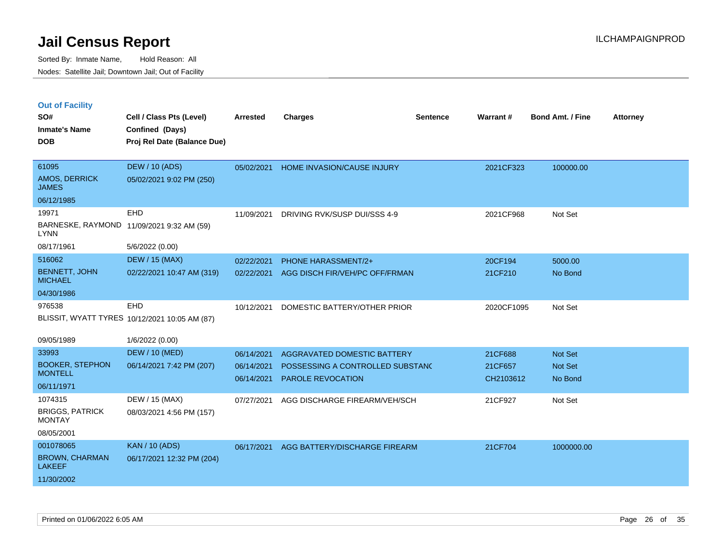|  | <b>Out of Facility</b> |  |
|--|------------------------|--|

| SO#<br><b>Inmate's Name</b><br><b>DOB</b> | Cell / Class Pts (Level)<br>Confined (Days)<br>Proj Rel Date (Balance Due) | <b>Arrested</b> | <b>Charges</b>                   | <b>Sentence</b> | Warrant#   | <b>Bond Amt. / Fine</b> | <b>Attorney</b> |
|-------------------------------------------|----------------------------------------------------------------------------|-----------------|----------------------------------|-----------------|------------|-------------------------|-----------------|
| 61095<br>AMOS, DERRICK<br><b>JAMES</b>    | <b>DEW / 10 (ADS)</b><br>05/02/2021 9:02 PM (250)                          | 05/02/2021      | HOME INVASION/CAUSE INJURY       |                 | 2021CF323  | 100000.00               |                 |
| 06/12/1985                                |                                                                            |                 |                                  |                 |            |                         |                 |
| 19971                                     | EHD                                                                        | 11/09/2021      | DRIVING RVK/SUSP DUI/SSS 4-9     |                 | 2021CF968  | Not Set                 |                 |
| <b>LYNN</b>                               | BARNESKE, RAYMOND 11/09/2021 9:32 AM (59)                                  |                 |                                  |                 |            |                         |                 |
| 08/17/1961                                | 5/6/2022 (0.00)                                                            |                 |                                  |                 |            |                         |                 |
| 516062                                    | <b>DEW / 15 (MAX)</b>                                                      | 02/22/2021      | PHONE HARASSMENT/2+              |                 | 20CF194    | 5000.00                 |                 |
| <b>BENNETT, JOHN</b><br><b>MICHAEL</b>    | 02/22/2021 10:47 AM (319)                                                  | 02/22/2021      | AGG DISCH FIR/VEH/PC OFF/FRMAN   |                 | 21CF210    | No Bond                 |                 |
| 04/30/1986                                |                                                                            |                 |                                  |                 |            |                         |                 |
| 976538                                    | EHD<br>BLISSIT, WYATT TYRES 10/12/2021 10:05 AM (87)                       | 10/12/2021      | DOMESTIC BATTERY/OTHER PRIOR     |                 | 2020CF1095 | Not Set                 |                 |
| 09/05/1989                                | 1/6/2022 (0.00)                                                            |                 |                                  |                 |            |                         |                 |
| 33993                                     | <b>DEW / 10 (MED)</b>                                                      | 06/14/2021      | AGGRAVATED DOMESTIC BATTERY      |                 | 21CF688    | Not Set                 |                 |
| <b>BOOKER, STEPHON</b>                    | 06/14/2021 7:42 PM (207)                                                   | 06/14/2021      | POSSESSING A CONTROLLED SUBSTANC |                 | 21CF657    | Not Set                 |                 |
| <b>MONTELL</b>                            |                                                                            | 06/14/2021      | <b>PAROLE REVOCATION</b>         |                 | CH2103612  | No Bond                 |                 |
| 06/11/1971                                |                                                                            |                 |                                  |                 |            |                         |                 |
| 1074315                                   | DEW / 15 (MAX)                                                             | 07/27/2021      | AGG DISCHARGE FIREARM/VEH/SCH    |                 | 21CF927    | Not Set                 |                 |
| <b>BRIGGS, PATRICK</b><br><b>MONTAY</b>   | 08/03/2021 4:56 PM (157)                                                   |                 |                                  |                 |            |                         |                 |
| 08/05/2001                                |                                                                            |                 |                                  |                 |            |                         |                 |
| 001078065                                 | <b>KAN / 10 (ADS)</b>                                                      | 06/17/2021      | AGG BATTERY/DISCHARGE FIREARM    |                 | 21CF704    | 1000000.00              |                 |
| <b>BROWN, CHARMAN</b><br><b>LAKEEF</b>    | 06/17/2021 12:32 PM (204)                                                  |                 |                                  |                 |            |                         |                 |
| 11/30/2002                                |                                                                            |                 |                                  |                 |            |                         |                 |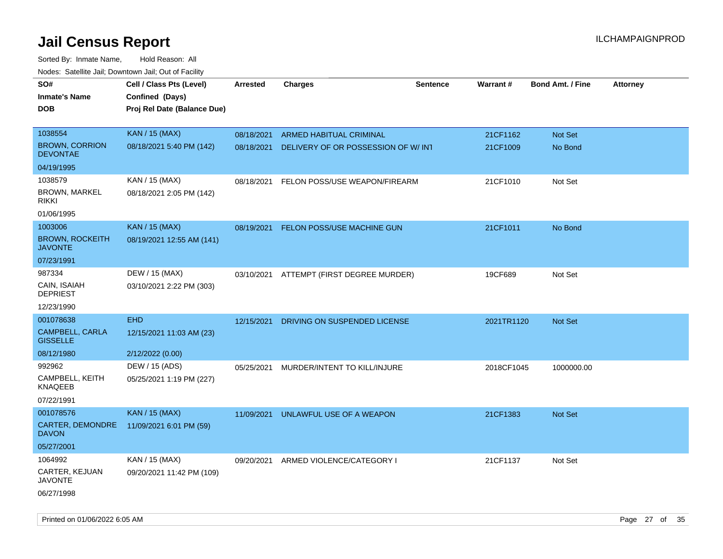| roaco. Catolino dall, Downtown dall, Out of Fability |                             |                 |                                     |                 |                 |                         |                 |
|------------------------------------------------------|-----------------------------|-----------------|-------------------------------------|-----------------|-----------------|-------------------------|-----------------|
| SO#                                                  | Cell / Class Pts (Level)    | <b>Arrested</b> | <b>Charges</b>                      | <b>Sentence</b> | <b>Warrant#</b> | <b>Bond Amt. / Fine</b> | <b>Attorney</b> |
| <b>Inmate's Name</b>                                 | Confined (Days)             |                 |                                     |                 |                 |                         |                 |
| <b>DOB</b>                                           | Proj Rel Date (Balance Due) |                 |                                     |                 |                 |                         |                 |
|                                                      |                             |                 |                                     |                 |                 |                         |                 |
| 1038554                                              | <b>KAN / 15 (MAX)</b>       | 08/18/2021      | <b>ARMED HABITUAL CRIMINAL</b>      |                 | 21CF1162        | Not Set                 |                 |
| <b>BROWN, CORRION</b><br><b>DEVONTAE</b>             | 08/18/2021 5:40 PM (142)    | 08/18/2021      | DELIVERY OF OR POSSESSION OF W/ INT |                 | 21CF1009        | No Bond                 |                 |
| 04/19/1995                                           |                             |                 |                                     |                 |                 |                         |                 |
| 1038579                                              | KAN / 15 (MAX)              | 08/18/2021      | FELON POSS/USE WEAPON/FIREARM       |                 | 21CF1010        | Not Set                 |                 |
| <b>BROWN, MARKEL</b><br><b>RIKKI</b>                 | 08/18/2021 2:05 PM (142)    |                 |                                     |                 |                 |                         |                 |
| 01/06/1995                                           |                             |                 |                                     |                 |                 |                         |                 |
| 1003006                                              | <b>KAN / 15 (MAX)</b>       | 08/19/2021      | <b>FELON POSS/USE MACHINE GUN</b>   |                 | 21CF1011        | No Bond                 |                 |
| <b>BROWN, ROCKEITH</b><br><b>JAVONTE</b>             | 08/19/2021 12:55 AM (141)   |                 |                                     |                 |                 |                         |                 |
| 07/23/1991                                           |                             |                 |                                     |                 |                 |                         |                 |
| 987334                                               | DEW / 15 (MAX)              | 03/10/2021      | ATTEMPT (FIRST DEGREE MURDER)       |                 | 19CF689         | Not Set                 |                 |
| CAIN, ISAIAH<br><b>DEPRIEST</b>                      | 03/10/2021 2:22 PM (303)    |                 |                                     |                 |                 |                         |                 |
| 12/23/1990                                           |                             |                 |                                     |                 |                 |                         |                 |
| 001078638                                            | <b>EHD</b>                  | 12/15/2021      | DRIVING ON SUSPENDED LICENSE        |                 | 2021TR1120      | Not Set                 |                 |
| CAMPBELL, CARLA<br><b>GISSELLE</b>                   | 12/15/2021 11:03 AM (23)    |                 |                                     |                 |                 |                         |                 |
| 08/12/1980                                           | 2/12/2022 (0.00)            |                 |                                     |                 |                 |                         |                 |
| 992962                                               | DEW / 15 (ADS)              | 05/25/2021      | MURDER/INTENT TO KILL/INJURE        |                 | 2018CF1045      | 1000000.00              |                 |
| CAMPBELL, KEITH<br>KNAQEEB                           | 05/25/2021 1:19 PM (227)    |                 |                                     |                 |                 |                         |                 |
| 07/22/1991                                           |                             |                 |                                     |                 |                 |                         |                 |
| 001078576                                            | <b>KAN / 15 (MAX)</b>       | 11/09/2021      | UNLAWFUL USE OF A WEAPON            |                 | 21CF1383        | <b>Not Set</b>          |                 |
| CARTER, DEMONDRE<br><b>DAVON</b>                     | 11/09/2021 6:01 PM (59)     |                 |                                     |                 |                 |                         |                 |
| 05/27/2001                                           |                             |                 |                                     |                 |                 |                         |                 |
| 1064992                                              | KAN / 15 (MAX)              | 09/20/2021      | ARMED VIOLENCE/CATEGORY I           |                 | 21CF1137        | Not Set                 |                 |
| CARTER, KEJUAN<br>JAVONTE                            | 09/20/2021 11:42 PM (109)   |                 |                                     |                 |                 |                         |                 |
| 06/27/1998                                           |                             |                 |                                     |                 |                 |                         |                 |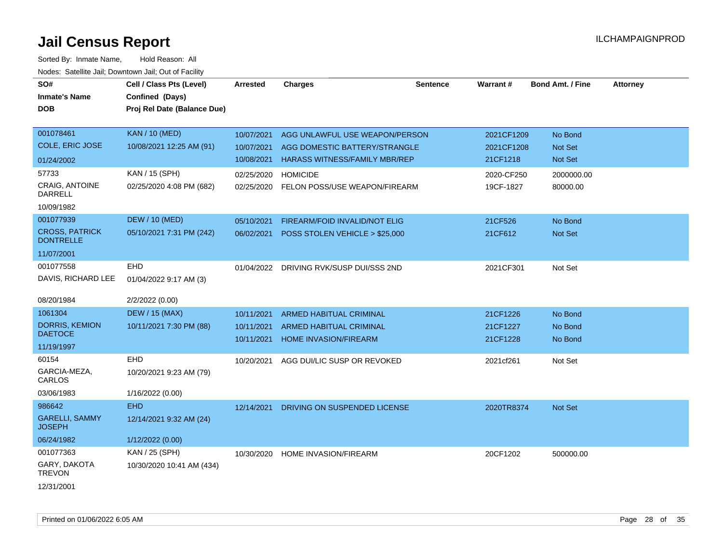| SO#<br><b>Inmate's Name</b><br><b>DOB</b> | Cell / Class Pts (Level)<br>Confined (Days)<br>Proj Rel Date (Balance Due) | <b>Arrested</b> | <b>Charges</b>                          | <b>Sentence</b> | Warrant#   | <b>Bond Amt. / Fine</b> | <b>Attorney</b> |
|-------------------------------------------|----------------------------------------------------------------------------|-----------------|-----------------------------------------|-----------------|------------|-------------------------|-----------------|
|                                           |                                                                            |                 |                                         |                 |            |                         |                 |
| 001078461                                 | <b>KAN / 10 (MED)</b>                                                      | 10/07/2021      | AGG UNLAWFUL USE WEAPON/PERSON          |                 | 2021CF1209 | No Bond                 |                 |
| <b>COLE, ERIC JOSE</b>                    | 10/08/2021 12:25 AM (91)                                                   | 10/07/2021      | AGG DOMESTIC BATTERY/STRANGLE           |                 | 2021CF1208 | Not Set                 |                 |
| 01/24/2002                                |                                                                            | 10/08/2021      | <b>HARASS WITNESS/FAMILY MBR/REP</b>    |                 | 21CF1218   | Not Set                 |                 |
| 57733                                     | KAN / 15 (SPH)                                                             | 02/25/2020      | <b>HOMICIDE</b>                         |                 | 2020-CF250 | 2000000.00              |                 |
| <b>CRAIG, ANTOINE</b><br><b>DARRELL</b>   | 02/25/2020 4:08 PM (682)                                                   | 02/25/2020      | FELON POSS/USE WEAPON/FIREARM           |                 | 19CF-1827  | 80000.00                |                 |
| 10/09/1982                                |                                                                            |                 |                                         |                 |            |                         |                 |
| 001077939                                 | <b>DEW / 10 (MED)</b>                                                      | 05/10/2021      | FIREARM/FOID INVALID/NOT ELIG           |                 | 21CF526    | No Bond                 |                 |
| <b>CROSS, PATRICK</b><br><b>DONTRELLE</b> | 05/10/2021 7:31 PM (242)                                                   | 06/02/2021      | POSS STOLEN VEHICLE > \$25,000          |                 | 21CF612    | Not Set                 |                 |
| 11/07/2001                                |                                                                            |                 |                                         |                 |            |                         |                 |
| 001077558                                 | <b>EHD</b>                                                                 | 01/04/2022      | DRIVING RVK/SUSP DUI/SSS 2ND            |                 | 2021CF301  | Not Set                 |                 |
| DAVIS, RICHARD LEE                        | 01/04/2022 9:17 AM (3)                                                     |                 |                                         |                 |            |                         |                 |
| 08/20/1984                                | 2/2/2022 (0.00)                                                            |                 |                                         |                 |            |                         |                 |
| 1061304                                   | <b>DEW / 15 (MAX)</b>                                                      | 10/11/2021      | <b>ARMED HABITUAL CRIMINAL</b>          |                 | 21CF1226   | No Bond                 |                 |
| <b>DORRIS, KEMION</b>                     | 10/11/2021 7:30 PM (88)                                                    | 10/11/2021      | <b>ARMED HABITUAL CRIMINAL</b>          |                 | 21CF1227   | No Bond                 |                 |
| <b>DAETOCE</b>                            |                                                                            | 10/11/2021      | HOME INVASION/FIREARM                   |                 | 21CF1228   | No Bond                 |                 |
| 11/19/1997                                |                                                                            |                 |                                         |                 |            |                         |                 |
| 60154                                     | EHD                                                                        | 10/20/2021      | AGG DUI/LIC SUSP OR REVOKED             |                 | 2021cf261  | Not Set                 |                 |
| GARCIA-MEZA,<br>CARLOS                    | 10/20/2021 9:23 AM (79)                                                    |                 |                                         |                 |            |                         |                 |
| 03/06/1983                                | 1/16/2022 (0.00)                                                           |                 |                                         |                 |            |                         |                 |
| 986642                                    | <b>EHD</b>                                                                 |                 | 12/14/2021 DRIVING ON SUSPENDED LICENSE |                 | 2020TR8374 | Not Set                 |                 |
| <b>GARELLI, SAMMY</b><br><b>JOSEPH</b>    | 12/14/2021 9:32 AM (24)                                                    |                 |                                         |                 |            |                         |                 |
| 06/24/1982                                | 1/12/2022 (0.00)                                                           |                 |                                         |                 |            |                         |                 |
| 001077363                                 | KAN / 25 (SPH)                                                             | 10/30/2020      | <b>HOME INVASION/FIREARM</b>            |                 | 20CF1202   | 500000.00               |                 |
| GARY, DAKOTA<br><b>TREVON</b>             | 10/30/2020 10:41 AM (434)                                                  |                 |                                         |                 |            |                         |                 |
| 12/31/2001                                |                                                                            |                 |                                         |                 |            |                         |                 |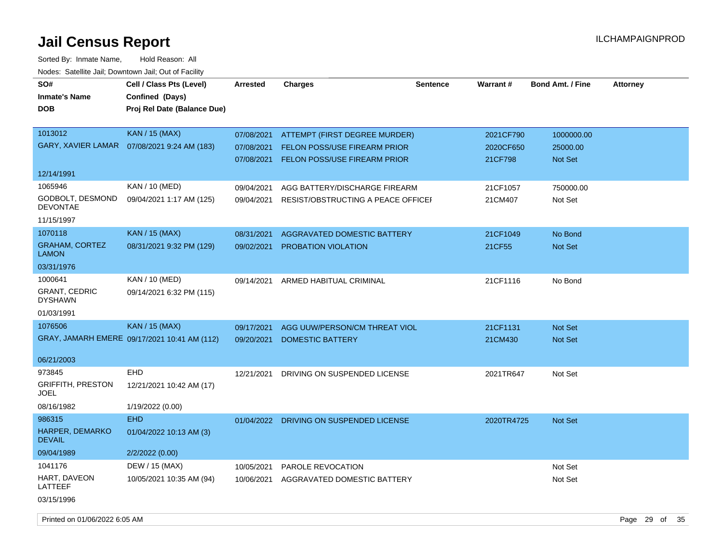Sorted By: Inmate Name, Hold Reason: All Nodes: Satellite Jail; Downtown Jail; Out of Facility

| SO#                                               | Cell / Class Pts (Level)                       | <b>Arrested</b> | <b>Charges</b>                          | <b>Sentence</b> | Warrant#   | <b>Bond Amt. / Fine</b> | <b>Attorney</b> |
|---------------------------------------------------|------------------------------------------------|-----------------|-----------------------------------------|-----------------|------------|-------------------------|-----------------|
| <b>Inmate's Name</b><br><b>DOB</b>                | Confined (Days)<br>Proj Rel Date (Balance Due) |                 |                                         |                 |            |                         |                 |
| 1013012                                           | <b>KAN / 15 (MAX)</b>                          | 07/08/2021      | ATTEMPT (FIRST DEGREE MURDER)           |                 | 2021CF790  | 1000000.00              |                 |
|                                                   | GARY, XAVIER LAMAR  07/08/2021 9:24 AM (183)   | 07/08/2021      | <b>FELON POSS/USE FIREARM PRIOR</b>     |                 | 2020CF650  | 25000.00                |                 |
|                                                   |                                                | 07/08/2021      | FELON POSS/USE FIREARM PRIOR            |                 | 21CF798    | Not Set                 |                 |
| 12/14/1991                                        |                                                |                 |                                         |                 |            |                         |                 |
| 1065946                                           | KAN / 10 (MED)                                 | 09/04/2021      | AGG BATTERY/DISCHARGE FIREARM           |                 | 21CF1057   | 750000.00               |                 |
| GODBOLT, DESMOND<br><b>DEVONTAE</b>               | 09/04/2021 1:17 AM (125)                       | 09/04/2021      | RESIST/OBSTRUCTING A PEACE OFFICE       |                 | 21CM407    | Not Set                 |                 |
| 11/15/1997                                        |                                                |                 |                                         |                 |            |                         |                 |
| 1070118                                           | <b>KAN / 15 (MAX)</b>                          | 08/31/2021      | AGGRAVATED DOMESTIC BATTERY             |                 | 21CF1049   | No Bond                 |                 |
| <b>GRAHAM, CORTEZ</b><br><b>LAMON</b>             | 08/31/2021 9:32 PM (129)                       | 09/02/2021      | PROBATION VIOLATION                     |                 | 21CF55     | Not Set                 |                 |
| 03/31/1976                                        |                                                |                 |                                         |                 |            |                         |                 |
| 1000641<br><b>GRANT, CEDRIC</b><br><b>DYSHAWN</b> | KAN / 10 (MED)<br>09/14/2021 6:32 PM (115)     | 09/14/2021      | ARMED HABITUAL CRIMINAL                 |                 | 21CF1116   | No Bond                 |                 |
| 01/03/1991                                        |                                                |                 |                                         |                 |            |                         |                 |
| 1076506                                           | <b>KAN / 15 (MAX)</b>                          | 09/17/2021      | AGG UUW/PERSON/CM THREAT VIOL           |                 | 21CF1131   | Not Set                 |                 |
|                                                   | GRAY, JAMARH EMERE 09/17/2021 10:41 AM (112)   | 09/20/2021      | <b>DOMESTIC BATTERY</b>                 |                 | 21CM430    | <b>Not Set</b>          |                 |
| 06/21/2003                                        |                                                |                 |                                         |                 |            |                         |                 |
| 973845                                            | <b>EHD</b>                                     | 12/21/2021      | DRIVING ON SUSPENDED LICENSE            |                 | 2021TR647  | Not Set                 |                 |
| <b>GRIFFITH, PRESTON</b><br><b>JOEL</b>           | 12/21/2021 10:42 AM (17)                       |                 |                                         |                 |            |                         |                 |
| 08/16/1982                                        | 1/19/2022 (0.00)                               |                 |                                         |                 |            |                         |                 |
| 986315                                            | <b>EHD</b>                                     |                 | 01/04/2022 DRIVING ON SUSPENDED LICENSE |                 | 2020TR4725 | Not Set                 |                 |
| HARPER, DEMARKO<br><b>DEVAIL</b>                  | 01/04/2022 10:13 AM (3)                        |                 |                                         |                 |            |                         |                 |
| 09/04/1989                                        | 2/2/2022 (0.00)                                |                 |                                         |                 |            |                         |                 |
| 1041176                                           | DEW / 15 (MAX)                                 | 10/05/2021      | PAROLE REVOCATION                       |                 |            | Not Set                 |                 |
| HART, DAVEON<br>LATTEEF                           | 10/05/2021 10:35 AM (94)                       | 10/06/2021      | AGGRAVATED DOMESTIC BATTERY             |                 |            | Not Set                 |                 |
| 03/15/1996                                        |                                                |                 |                                         |                 |            |                         |                 |

Printed on 01/06/2022 6:05 AM Page 29 of 35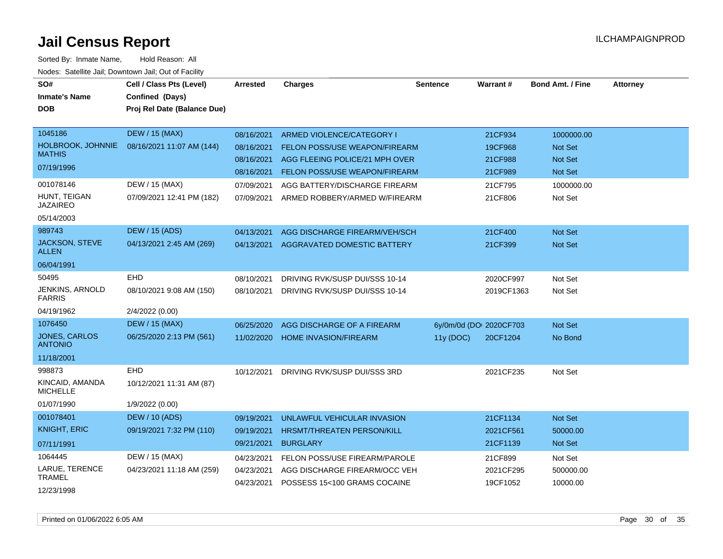| SO#<br><b>Inmate's Name</b><br><b>DOB</b> | Cell / Class Pts (Level)<br>Confined (Days)<br>Proj Rel Date (Balance Due) | <b>Arrested</b> | <b>Charges</b>                       | <b>Sentence</b> | Warrant#                | <b>Bond Amt. / Fine</b> | <b>Attorney</b> |
|-------------------------------------------|----------------------------------------------------------------------------|-----------------|--------------------------------------|-----------------|-------------------------|-------------------------|-----------------|
| 1045186                                   | <b>DEW / 15 (MAX)</b>                                                      | 08/16/2021      | ARMED VIOLENCE/CATEGORY I            |                 | 21CF934                 | 1000000.00              |                 |
| HOLBROOK, JOHNNIE<br><b>MATHIS</b>        | 08/16/2021 11:07 AM (144)                                                  | 08/16/2021      | <b>FELON POSS/USE WEAPON/FIREARM</b> |                 | 19CF968                 | <b>Not Set</b>          |                 |
| 07/19/1996                                |                                                                            | 08/16/2021      | AGG FLEEING POLICE/21 MPH OVER       |                 | 21CF988                 | <b>Not Set</b>          |                 |
|                                           |                                                                            | 08/16/2021      | <b>FELON POSS/USE WEAPON/FIREARM</b> |                 | 21CF989                 | <b>Not Set</b>          |                 |
| 001078146                                 | DEW / 15 (MAX)                                                             | 07/09/2021      | AGG BATTERY/DISCHARGE FIREARM        |                 | 21CF795                 | 1000000.00              |                 |
| HUNT, TEIGAN<br><b>JAZAIREO</b>           | 07/09/2021 12:41 PM (182)                                                  | 07/09/2021      | ARMED ROBBERY/ARMED W/FIREARM        |                 | 21CF806                 | Not Set                 |                 |
| 05/14/2003                                |                                                                            |                 |                                      |                 |                         |                         |                 |
| 989743                                    | <b>DEW / 15 (ADS)</b>                                                      | 04/13/2021      | AGG DISCHARGE FIREARM/VEH/SCH        |                 | 21CF400                 | <b>Not Set</b>          |                 |
| JACKSON, STEVE<br><b>ALLEN</b>            | 04/13/2021 2:45 AM (269)                                                   | 04/13/2021      | <b>AGGRAVATED DOMESTIC BATTERY</b>   |                 | 21CF399                 | <b>Not Set</b>          |                 |
| 06/04/1991                                |                                                                            |                 |                                      |                 |                         |                         |                 |
| 50495                                     | <b>EHD</b>                                                                 | 08/10/2021      | DRIVING RVK/SUSP DUI/SSS 10-14       |                 | 2020CF997               | Not Set                 |                 |
| JENKINS, ARNOLD<br><b>FARRIS</b>          | 08/10/2021 9:08 AM (150)                                                   | 08/10/2021      | DRIVING RVK/SUSP DUI/SSS 10-14       |                 | 2019CF1363              | Not Set                 |                 |
| 04/19/1962                                | 2/4/2022 (0.00)                                                            |                 |                                      |                 |                         |                         |                 |
| 1076450                                   | <b>DEW / 15 (MAX)</b>                                                      | 06/25/2020      | AGG DISCHARGE OF A FIREARM           |                 | 6y/0m/0d (DOI 2020CF703 | <b>Not Set</b>          |                 |
| <b>JONES, CARLOS</b><br><b>ANTONIO</b>    | 06/25/2020 2:13 PM (561)                                                   | 11/02/2020      | <b>HOME INVASION/FIREARM</b>         | 11y (DOC)       | 20CF1204                | No Bond                 |                 |
| 11/18/2001                                |                                                                            |                 |                                      |                 |                         |                         |                 |
| 998873                                    | <b>EHD</b>                                                                 | 10/12/2021      | DRIVING RVK/SUSP DUI/SSS 3RD         |                 | 2021CF235               | Not Set                 |                 |
| KINCAID, AMANDA<br><b>MICHELLE</b>        | 10/12/2021 11:31 AM (87)                                                   |                 |                                      |                 |                         |                         |                 |
| 01/07/1990                                | 1/9/2022 (0.00)                                                            |                 |                                      |                 |                         |                         |                 |
| 001078401                                 | <b>DEW / 10 (ADS)</b>                                                      | 09/19/2021      | UNLAWFUL VEHICULAR INVASION          |                 | 21CF1134                | Not Set                 |                 |
| <b>KNIGHT, ERIC</b>                       | 09/19/2021 7:32 PM (110)                                                   | 09/19/2021      | HRSMT/THREATEN PERSON/KILL           |                 | 2021CF561               | 50000.00                |                 |
| 07/11/1991                                |                                                                            | 09/21/2021      | <b>BURGLARY</b>                      |                 | 21CF1139                | <b>Not Set</b>          |                 |
| 1064445                                   | DEW / 15 (MAX)                                                             | 04/23/2021      | FELON POSS/USE FIREARM/PAROLE        |                 | 21CF899                 | Not Set                 |                 |
| LARUE, TERENCE<br><b>TRAMEL</b>           | 04/23/2021 11:18 AM (259)                                                  | 04/23/2021      | AGG DISCHARGE FIREARM/OCC VEH        |                 | 2021CF295               | 500000.00               |                 |
| 12/23/1998                                |                                                                            | 04/23/2021      | POSSESS 15<100 GRAMS COCAINE         |                 | 19CF1052                | 10000.00                |                 |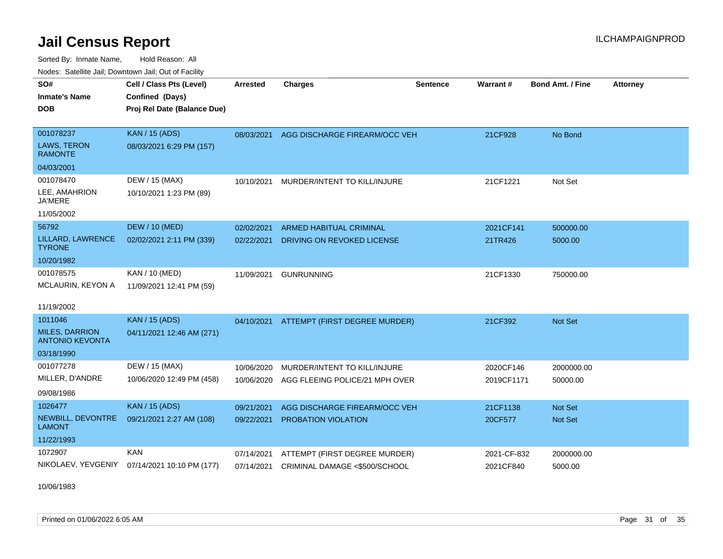Sorted By: Inmate Name, Hold Reason: All Nodes: Satellite Jail; Downtown Jail; Out of Facility

| SO#<br><b>Inmate's Name</b><br><b>DOB</b>                                | Cell / Class Pts (Level)<br>Confined (Days)<br>Proj Rel Date (Balance Due) | Arrested                 | <b>Charges</b>                                                 | <b>Sentence</b> | Warrant #                | <b>Bond Amt. / Fine</b> | <b>Attorney</b> |
|--------------------------------------------------------------------------|----------------------------------------------------------------------------|--------------------------|----------------------------------------------------------------|-----------------|--------------------------|-------------------------|-----------------|
| 001078237<br>LAWS, TERON<br><b>RAMONTE</b><br>04/03/2001                 | KAN / 15 (ADS)<br>08/03/2021 6:29 PM (157)                                 |                          | 08/03/2021 AGG DISCHARGE FIREARM/OCC VEH                       |                 | 21CF928                  | No Bond                 |                 |
| 001078470<br>LEE, AMAHRION<br><b>JA'MERE</b><br>11/05/2002               | DEW / 15 (MAX)<br>10/10/2021 1:23 PM (89)                                  | 10/10/2021               | MURDER/INTENT TO KILL/INJURE                                   |                 | 21CF1221                 | Not Set                 |                 |
| 56792<br>LILLARD, LAWRENCE<br><b>TYRONE</b><br>10/20/1982                | <b>DEW / 10 (MED)</b><br>02/02/2021 2:11 PM (339)                          | 02/02/2021<br>02/22/2021 | <b>ARMED HABITUAL CRIMINAL</b><br>DRIVING ON REVOKED LICENSE   |                 | 2021CF141<br>21TR426     | 500000.00<br>5000.00    |                 |
| 001078575<br>MCLAURIN, KEYON A<br>11/19/2002                             | KAN / 10 (MED)<br>11/09/2021 12:41 PM (59)                                 | 11/09/2021               | <b>GUNRUNNING</b>                                              |                 | 21CF1330                 | 750000.00               |                 |
| 1011046<br><b>MILES, DARRION</b><br><b>ANTONIO KEVONTA</b><br>03/18/1990 | <b>KAN</b> / 15 (ADS)<br>04/11/2021 12:46 AM (271)                         |                          | 04/10/2021 ATTEMPT (FIRST DEGREE MURDER)                       |                 | 21CF392                  | Not Set                 |                 |
| 001077278<br>MILLER, D'ANDRE<br>09/08/1986                               | DEW / 15 (MAX)<br>10/06/2020 12:49 PM (458)                                | 10/06/2020<br>10/06/2020 | MURDER/INTENT TO KILL/INJURE<br>AGG FLEEING POLICE/21 MPH OVER |                 | 2020CF146<br>2019CF1171  | 2000000.00<br>50000.00  |                 |
| 1026477<br>NEWBILL, DEVONTRE<br><b>LAMONT</b><br>11/22/1993              | <b>KAN</b> / 15 (ADS)<br>09/21/2021 2:27 AM (108)                          | 09/21/2021<br>09/22/2021 | AGG DISCHARGE FIREARM/OCC VEH<br>PROBATION VIOLATION           |                 | 21CF1138<br>20CF577      | Not Set<br>Not Set      |                 |
| 1072907<br>NIKOLAEV, YEVGENIY                                            | <b>KAN</b><br>07/14/2021 10:10 PM (177)                                    | 07/14/2021<br>07/14/2021 | ATTEMPT (FIRST DEGREE MURDER)<br>CRIMINAL DAMAGE <\$500/SCHOOL |                 | 2021-CF-832<br>2021CF840 | 2000000.00<br>5000.00   |                 |

10/06/1983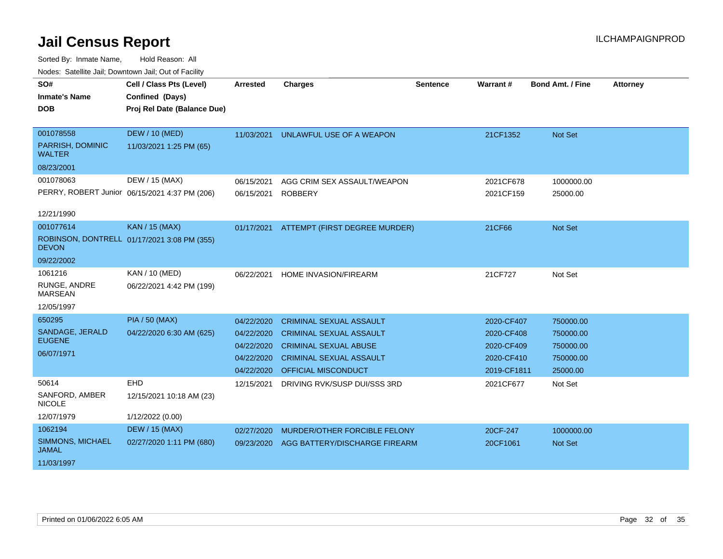| SO#                               | Cell / Class Pts (Level)                      | <b>Arrested</b> | <b>Charges</b>                 | Sentence | Warrant#    | <b>Bond Amt. / Fine</b> | <b>Attorney</b> |
|-----------------------------------|-----------------------------------------------|-----------------|--------------------------------|----------|-------------|-------------------------|-----------------|
| <b>Inmate's Name</b>              | Confined (Days)                               |                 |                                |          |             |                         |                 |
| <b>DOB</b>                        | Proj Rel Date (Balance Due)                   |                 |                                |          |             |                         |                 |
|                                   |                                               |                 |                                |          |             |                         |                 |
| 001078558                         | <b>DEW / 10 (MED)</b>                         | 11/03/2021      | UNLAWFUL USE OF A WEAPON       |          | 21CF1352    | <b>Not Set</b>          |                 |
| PARRISH, DOMINIC<br><b>WALTER</b> | 11/03/2021 1:25 PM (65)                       |                 |                                |          |             |                         |                 |
| 08/23/2001                        |                                               |                 |                                |          |             |                         |                 |
| 001078063                         | DEW / 15 (MAX)                                | 06/15/2021      | AGG CRIM SEX ASSAULT/WEAPON    |          | 2021CF678   | 1000000.00              |                 |
|                                   | PERRY, ROBERT Junior 06/15/2021 4:37 PM (206) | 06/15/2021      | <b>ROBBERY</b>                 |          | 2021CF159   | 25000.00                |                 |
| 12/21/1990                        |                                               |                 |                                |          |             |                         |                 |
|                                   |                                               |                 |                                |          |             |                         |                 |
| 001077614                         | <b>KAN / 15 (MAX)</b>                         | 01/17/2021      | ATTEMPT (FIRST DEGREE MURDER)  |          | 21CF66      | Not Set                 |                 |
| <b>DEVON</b>                      | ROBINSON, DONTRELL 01/17/2021 3:08 PM (355)   |                 |                                |          |             |                         |                 |
| 09/22/2002                        |                                               |                 |                                |          |             |                         |                 |
| 1061216                           | KAN / 10 (MED)                                | 06/22/2021      | HOME INVASION/FIREARM          |          | 21CF727     | Not Set                 |                 |
| RUNGE, ANDRE<br><b>MARSEAN</b>    | 06/22/2021 4:42 PM (199)                      |                 |                                |          |             |                         |                 |
| 12/05/1997                        |                                               |                 |                                |          |             |                         |                 |
| 650295                            | <b>PIA / 50 (MAX)</b>                         | 04/22/2020      | <b>CRIMINAL SEXUAL ASSAULT</b> |          | 2020-CF407  | 750000.00               |                 |
| SANDAGE, JERALD                   | 04/22/2020 6:30 AM (625)                      | 04/22/2020      | <b>CRIMINAL SEXUAL ASSAULT</b> |          | 2020-CF408  | 750000.00               |                 |
| <b>EUGENE</b>                     |                                               | 04/22/2020      | <b>CRIMINAL SEXUAL ABUSE</b>   |          | 2020-CF409  | 750000.00               |                 |
| 06/07/1971                        |                                               | 04/22/2020      | <b>CRIMINAL SEXUAL ASSAULT</b> |          | 2020-CF410  | 750000.00               |                 |
|                                   |                                               | 04/22/2020      | OFFICIAL MISCONDUCT            |          | 2019-CF1811 | 25000.00                |                 |
| 50614                             | <b>EHD</b>                                    | 12/15/2021      | DRIVING RVK/SUSP DUI/SSS 3RD   |          | 2021CF677   | Not Set                 |                 |
| SANFORD, AMBER<br><b>NICOLE</b>   | 12/15/2021 10:18 AM (23)                      |                 |                                |          |             |                         |                 |
| 12/07/1979                        | 1/12/2022 (0.00)                              |                 |                                |          |             |                         |                 |
| 1062194                           | <b>DEW / 15 (MAX)</b>                         | 02/27/2020      | MURDER/OTHER FORCIBLE FELONY   |          | 20CF-247    | 1000000.00              |                 |
| SIMMONS, MICHAEL<br>JAMAL         | 02/27/2020 1:11 PM (680)                      | 09/23/2020      | AGG BATTERY/DISCHARGE FIREARM  |          | 20CF1061    | <b>Not Set</b>          |                 |
| 11/03/1997                        |                                               |                 |                                |          |             |                         |                 |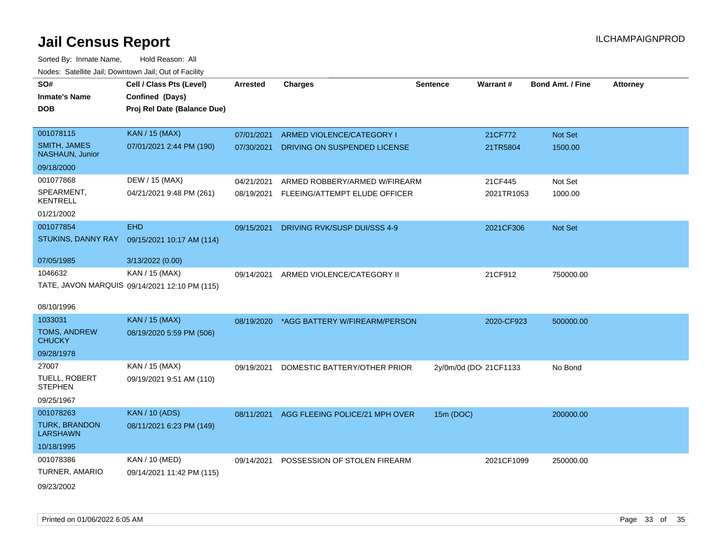| SO#<br><b>Inmate's Name</b><br><b>DOB</b>     | Cell / Class Pts (Level)<br>Confined (Days)<br>Proj Rel Date (Balance Due) | <b>Arrested</b> | <b>Charges</b>                 | <b>Sentence</b> | <b>Warrant#</b>        | <b>Bond Amt. / Fine</b> | <b>Attorney</b> |
|-----------------------------------------------|----------------------------------------------------------------------------|-----------------|--------------------------------|-----------------|------------------------|-------------------------|-----------------|
| 001078115                                     | <b>KAN / 15 (MAX)</b>                                                      | 07/01/2021      | ARMED VIOLENCE/CATEGORY I      |                 | 21CF772                | <b>Not Set</b>          |                 |
| <b>SMITH, JAMES</b><br><b>NASHAUN, Junior</b> | 07/01/2021 2:44 PM (190)                                                   | 07/30/2021      | DRIVING ON SUSPENDED LICENSE   |                 | 21TR5804               | 1500.00                 |                 |
| 09/18/2000                                    |                                                                            |                 |                                |                 |                        |                         |                 |
| 001077868                                     | DEW / 15 (MAX)                                                             | 04/21/2021      | ARMED ROBBERY/ARMED W/FIREARM  |                 | 21CF445                | Not Set                 |                 |
| SPEARMENT,<br><b>KENTRELL</b>                 | 04/21/2021 9:48 PM (261)                                                   | 08/19/2021      | FLEEING/ATTEMPT ELUDE OFFICER  |                 | 2021TR1053             | 1000.00                 |                 |
| 01/21/2002                                    |                                                                            |                 |                                |                 |                        |                         |                 |
| 001077854                                     | <b>EHD</b>                                                                 | 09/15/2021      | DRIVING RVK/SUSP DUI/SSS 4-9   |                 | 2021CF306              | <b>Not Set</b>          |                 |
| STUKINS, DANNY RAY                            | 09/15/2021 10:17 AM (114)                                                  |                 |                                |                 |                        |                         |                 |
| 07/05/1985                                    | 3/13/2022 (0.00)                                                           |                 |                                |                 |                        |                         |                 |
| 1046632                                       | KAN / 15 (MAX)                                                             | 09/14/2021      | ARMED VIOLENCE/CATEGORY II     |                 | 21CF912                | 750000.00               |                 |
|                                               | TATE, JAVON MARQUIS 09/14/2021 12:10 PM (115)                              |                 |                                |                 |                        |                         |                 |
| 08/10/1996                                    |                                                                            |                 |                                |                 |                        |                         |                 |
| 1033031                                       | <b>KAN / 15 (MAX)</b>                                                      | 08/19/2020      | *AGG BATTERY W/FIREARM/PERSON  |                 | 2020-CF923             | 500000.00               |                 |
| <b>TOMS, ANDREW</b><br><b>CHUCKY</b>          | 08/19/2020 5:59 PM (506)                                                   |                 |                                |                 |                        |                         |                 |
| 09/28/1978                                    |                                                                            |                 |                                |                 |                        |                         |                 |
| 27007                                         | KAN / 15 (MAX)                                                             | 09/19/2021      | DOMESTIC BATTERY/OTHER PRIOR   |                 | 2y/0m/0d (DOI 21CF1133 | No Bond                 |                 |
| TUELL, ROBERT<br><b>STEPHEN</b>               | 09/19/2021 9:51 AM (110)                                                   |                 |                                |                 |                        |                         |                 |
| 09/25/1967                                    |                                                                            |                 |                                |                 |                        |                         |                 |
| 001078263                                     | <b>KAN / 10 (ADS)</b>                                                      | 08/11/2021      | AGG FLEEING POLICE/21 MPH OVER | 15m (DOC)       |                        | 200000.00               |                 |
| <b>TURK, BRANDON</b><br><b>LARSHAWN</b>       | 08/11/2021 6:23 PM (149)                                                   |                 |                                |                 |                        |                         |                 |
| 10/18/1995                                    |                                                                            |                 |                                |                 |                        |                         |                 |
| 001078386                                     | KAN / 10 (MED)                                                             | 09/14/2021      | POSSESSION OF STOLEN FIREARM   |                 | 2021CF1099             | 250000.00               |                 |
| TURNER, AMARIO                                | 09/14/2021 11:42 PM (115)                                                  |                 |                                |                 |                        |                         |                 |
| 09/23/2002                                    |                                                                            |                 |                                |                 |                        |                         |                 |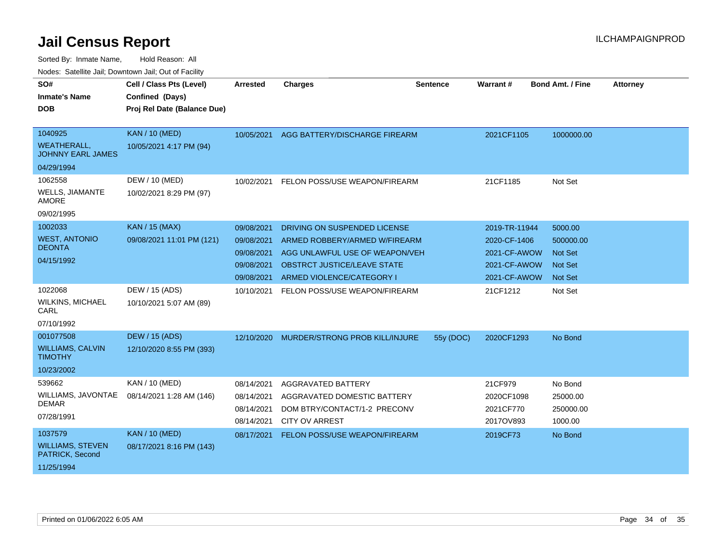Sorted By: Inmate Name, Hold Reason: All

| Nodes: Satellite Jail; Downtown Jail; Out of Facility |                             |                 |                                           |                 |               |                  |                 |
|-------------------------------------------------------|-----------------------------|-----------------|-------------------------------------------|-----------------|---------------|------------------|-----------------|
| SO#                                                   | Cell / Class Pts (Level)    | <b>Arrested</b> | <b>Charges</b>                            | <b>Sentence</b> | Warrant#      | Bond Amt. / Fine | <b>Attorney</b> |
| <b>Inmate's Name</b>                                  | Confined (Days)             |                 |                                           |                 |               |                  |                 |
| <b>DOB</b>                                            | Proj Rel Date (Balance Due) |                 |                                           |                 |               |                  |                 |
|                                                       |                             |                 |                                           |                 |               |                  |                 |
| 1040925                                               | <b>KAN / 10 (MED)</b>       | 10/05/2021      | AGG BATTERY/DISCHARGE FIREARM             |                 | 2021CF1105    | 1000000.00       |                 |
| <b>WEATHERALL,</b><br><b>JOHNNY EARL JAMES</b>        | 10/05/2021 4:17 PM (94)     |                 |                                           |                 |               |                  |                 |
| 04/29/1994                                            |                             |                 |                                           |                 |               |                  |                 |
| 1062558                                               | DEW / 10 (MED)              | 10/02/2021      | FELON POSS/USE WEAPON/FIREARM             |                 | 21CF1185      | Not Set          |                 |
| <b>WELLS, JIAMANTE</b><br><b>AMORE</b>                | 10/02/2021 8:29 PM (97)     |                 |                                           |                 |               |                  |                 |
| 09/02/1995                                            |                             |                 |                                           |                 |               |                  |                 |
| 1002033                                               | <b>KAN / 15 (MAX)</b>       | 09/08/2021      | DRIVING ON SUSPENDED LICENSE              |                 | 2019-TR-11944 | 5000.00          |                 |
| <b>WEST, ANTONIO</b>                                  | 09/08/2021 11:01 PM (121)   | 09/08/2021      | ARMED ROBBERY/ARMED W/FIREARM             |                 | 2020-CF-1406  | 500000.00        |                 |
| <b>DEONTA</b>                                         |                             | 09/08/2021      | AGG UNLAWFUL USE OF WEAPON/VEH            |                 | 2021-CF-AWOW  | <b>Not Set</b>   |                 |
| 04/15/1992                                            |                             | 09/08/2021      | OBSTRCT JUSTICE/LEAVE STATE               |                 | 2021-CF-AWOW  | <b>Not Set</b>   |                 |
|                                                       |                             | 09/08/2021      | ARMED VIOLENCE/CATEGORY I                 |                 | 2021-CF-AWOW  | <b>Not Set</b>   |                 |
| 1022068                                               | DEW / 15 (ADS)              | 10/10/2021      | FELON POSS/USE WEAPON/FIREARM             |                 | 21CF1212      | Not Set          |                 |
| <b>WILKINS, MICHAEL</b><br>CARL                       | 10/10/2021 5:07 AM (89)     |                 |                                           |                 |               |                  |                 |
| 07/10/1992                                            |                             |                 |                                           |                 |               |                  |                 |
| 001077508                                             | <b>DEW / 15 (ADS)</b>       |                 | 12/10/2020 MURDER/STRONG PROB KILL/INJURE | 55y (DOC)       | 2020CF1293    | No Bond          |                 |
| <b>WILLIAMS, CALVIN</b><br><b>TIMOTHY</b>             | 12/10/2020 8:55 PM (393)    |                 |                                           |                 |               |                  |                 |
| 10/23/2002                                            |                             |                 |                                           |                 |               |                  |                 |
| 539662                                                | <b>KAN / 10 (MED)</b>       | 08/14/2021      | AGGRAVATED BATTERY                        |                 | 21CF979       | No Bond          |                 |
| WILLIAMS, JAVONTAE                                    | 08/14/2021 1:28 AM (146)    | 08/14/2021      | AGGRAVATED DOMESTIC BATTERY               |                 | 2020CF1098    | 25000.00         |                 |
| <b>DEMAR</b>                                          |                             | 08/14/2021      | DOM BTRY/CONTACT/1-2 PRECONV              |                 | 2021CF770     | 250000.00        |                 |
| 07/28/1991                                            |                             | 08/14/2021      | <b>CITY OV ARREST</b>                     |                 | 2017OV893     | 1000.00          |                 |
| 1037579                                               | <b>KAN / 10 (MED)</b>       | 08/17/2021      | FELON POSS/USE WEAPON/FIREARM             |                 | 2019CF73      | No Bond          |                 |
| <b>WILLIAMS, STEVEN</b><br>PATRICK, Second            | 08/17/2021 8:16 PM (143)    |                 |                                           |                 |               |                  |                 |
| 11/25/1994                                            |                             |                 |                                           |                 |               |                  |                 |